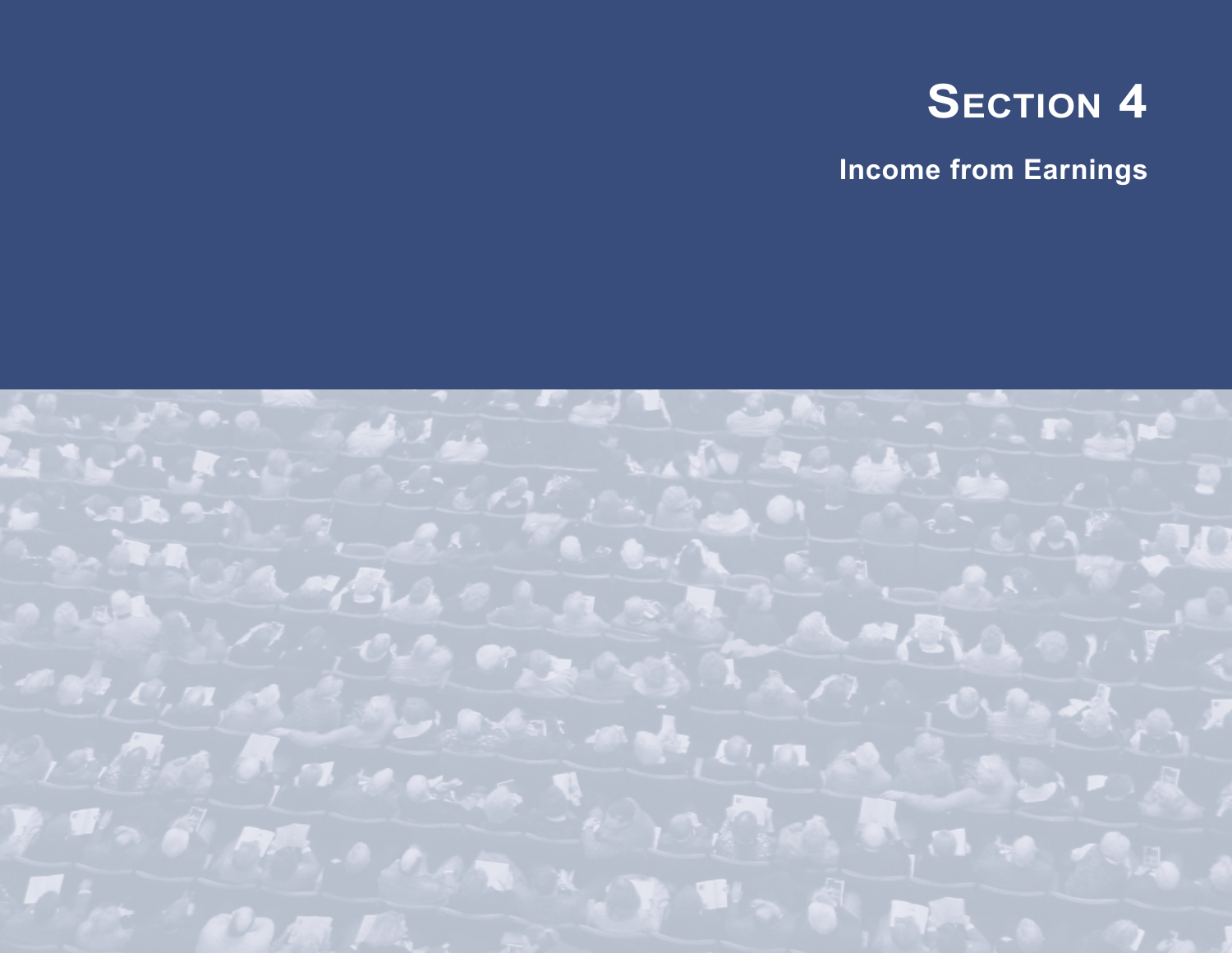

**Income from Earnings**

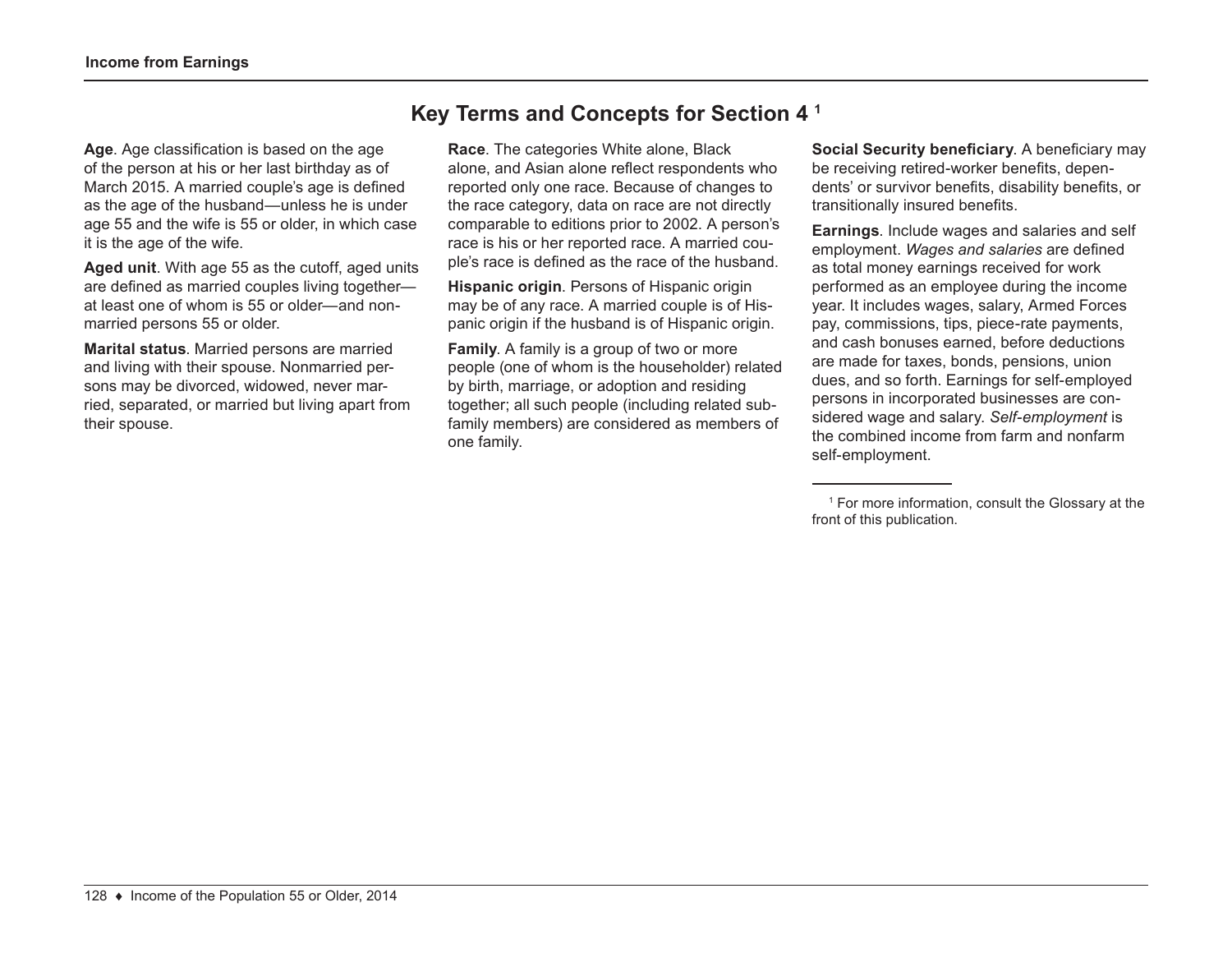**Age**. Age classification is based on the age of the person at his or her last birthday as of March 2015. A married couple's age is defined as the age of the husband—unless he is under age 55 and the wife is 55 or older, in which case it is the age of the wife.

**Aged unit**. With age 55 as the cutoff, aged units are defined as married couples living together at least one of whom is 55 or older—and nonmarried persons 55 or older.

**Marital status**. Married persons are married and living with their spouse. Nonmarried persons may be divorced, widowed, never married, separated, or married but living apart from their spouse.

# **Key Terms and Concepts for Section 4 1**

**Race**. The categories White alone, Black alone, and Asian alone reflect respondents who reported only one race. Because of changes to the race category, data on race are not directly comparable to editions prior to 2002. A person's race is his or her reported race. A married couple's race is defined as the race of the husband.

**Hispanic origin**. Persons of Hispanic origin may be of any race. A married couple is of Hispanic origin if the husband is of Hispanic origin.

**Family**. A family is a group of two or more people (one of whom is the householder) related by birth, marriage, or adoption and residing together; all such people (including related subfamily members) are considered as members of one family.

**Social Security beneficiary**. A beneficiary may be receiving retired-worker benefits, dependents' or survivor benefits, disability benefits, or transitionally insured benefits.

**Earnings**. Include wages and salaries and self employment. *Wages and salaries* are defined as total money earnings received for work performed as an employee during the income year. It includes wages, salary, Armed Forces pay, commissions, tips, piece-rate payments, and cash bonuses earned, before deductions are made for taxes, bonds, pensions, union dues, and so forth. Earnings for self-employed persons in incorporated businesses are considered wage and salary. *Self-employment* is the combined income from farm and nonfarm self-employment.

<sup>1</sup> For more information, consult the Glossary at the front of this publication.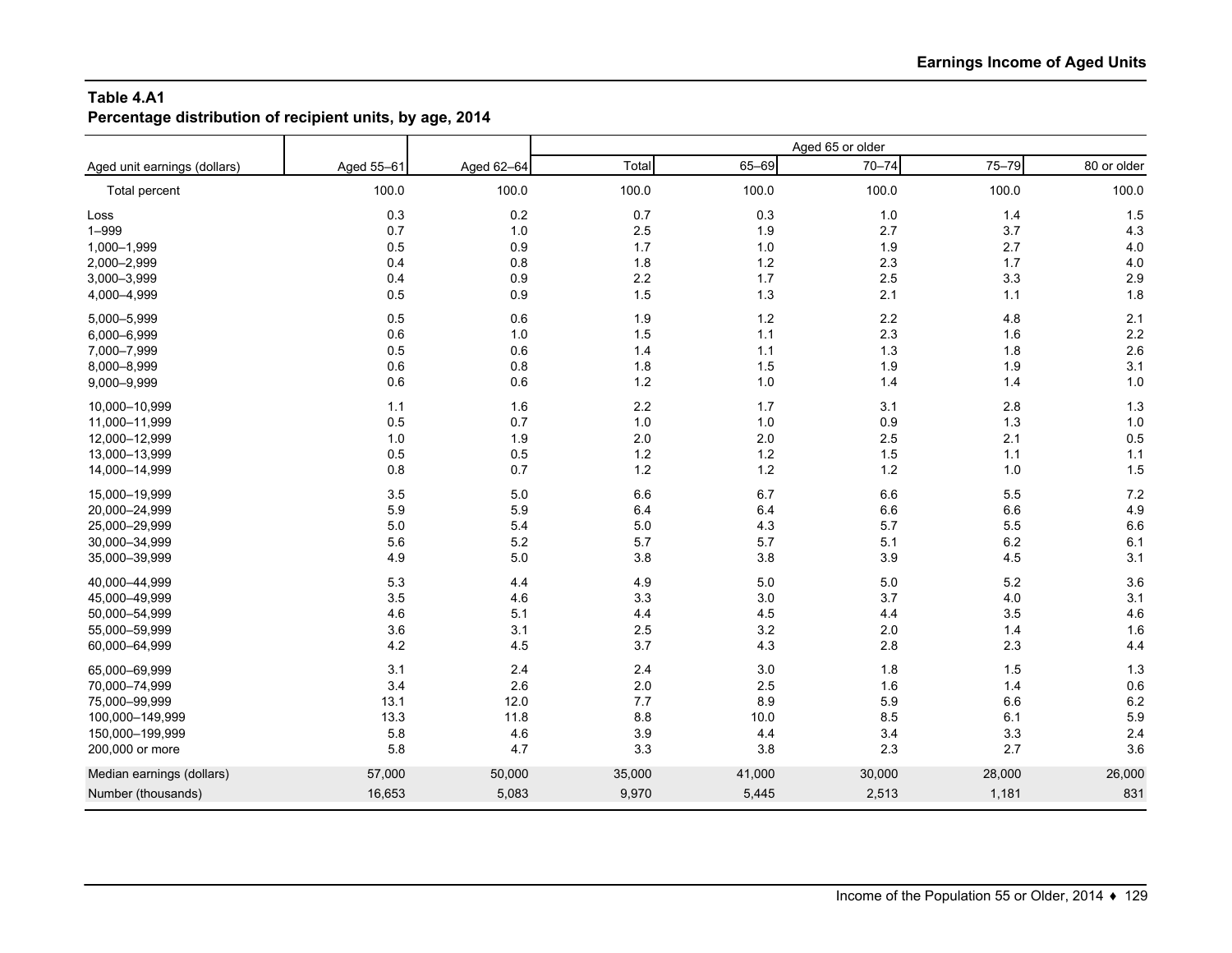**Percentage distribution of recipient units, by age, 2014**

|                              |            |            |        |        | Aged 65 or older |        |             |
|------------------------------|------------|------------|--------|--------|------------------|--------|-------------|
| Aged unit earnings (dollars) | Aged 55-61 | Aged 62-64 | Total  | 65-69  | $70 - 74$        | 75-79  | 80 or older |
| Total percent                | 100.0      | 100.0      | 100.0  | 100.0  | 100.0            | 100.0  | 100.0       |
| Loss                         | 0.3        | 0.2        | 0.7    | 0.3    | 1.0              | 1.4    | 1.5         |
| $1 - 999$                    | 0.7        | 1.0        | 2.5    | 1.9    | 2.7              | 3.7    | 4.3         |
| 1,000-1,999                  | 0.5        | 0.9        | 1.7    | 1.0    | 1.9              | 2.7    | 4.0         |
| 2,000-2,999                  | 0.4        | 0.8        | 1.8    | $1.2$  | 2.3              | 1.7    | 4.0         |
| 3,000-3,999                  | 0.4        | 0.9        | 2.2    | $1.7$  | 2.5              | 3.3    | 2.9         |
| 4,000-4,999                  | 0.5        | 0.9        | 1.5    | 1.3    | 2.1              | 1.1    | 1.8         |
| 5,000-5,999                  | 0.5        | 0.6        | 1.9    | $1.2$  | 2.2              | 4.8    | 2.1         |
| 6,000-6,999                  | 0.6        | 1.0        | 1.5    | 1.1    | 2.3              | 1.6    | 2.2         |
| 7,000-7,999                  | 0.5        | 0.6        | 1.4    | 1.1    | 1.3              | 1.8    | 2.6         |
| 8,000-8,999                  | 0.6        | 0.8        | 1.8    | 1.5    | 1.9              | 1.9    | 3.1         |
| 9,000-9,999                  | 0.6        | 0.6        | 1.2    | 1.0    | 1.4              | 1.4    | 1.0         |
| 10,000-10,999                | 1.1        | 1.6        | 2.2    | 1.7    | 3.1              | 2.8    | 1.3         |
| 11,000-11,999                | 0.5        | 0.7        | 1.0    | 1.0    | 0.9              | 1.3    | 1.0         |
| 12,000-12,999                | 1.0        | 1.9        | 2.0    | 2.0    | 2.5              | 2.1    | 0.5         |
| 13,000-13,999                | 0.5        | 0.5        | 1.2    | $1.2$  | 1.5              | 1.1    | $1.1$       |
| 14,000-14,999                | 0.8        | 0.7        | 1.2    | $1.2$  | 1.2              | 1.0    | 1.5         |
| 15,000-19,999                | 3.5        | 5.0        | 6.6    | 6.7    | 6.6              | 5.5    | 7.2         |
| 20,000-24,999                | 5.9        | 5.9        | 6.4    | 6.4    | 6.6              | 6.6    | 4.9         |
| 25,000-29,999                | 5.0        | 5.4        | 5.0    | 4.3    | 5.7              | 5.5    | 6.6         |
| 30,000-34,999                | 5.6        | 5.2        | 5.7    | 5.7    | 5.1              | 6.2    | 6.1         |
| 35,000-39,999                | 4.9        | 5.0        | 3.8    | 3.8    | 3.9              | 4.5    | 3.1         |
| 40,000-44,999                | 5.3        | 4.4        | 4.9    | 5.0    | 5.0              | 5.2    | 3.6         |
| 45,000-49,999                | 3.5        | 4.6        | 3.3    | 3.0    | 3.7              | 4.0    | 3.1         |
| 50,000-54,999                | 4.6        | 5.1        | 4.4    | 4.5    | 4.4              | 3.5    | 4.6         |
| 55,000-59,999                | 3.6        | 3.1        | 2.5    | 3.2    | 2.0              | 1.4    | 1.6         |
| 60,000-64,999                | 4.2        | 4.5        | 3.7    | 4.3    | 2.8              | 2.3    | 4.4         |
| 65,000-69,999                | 3.1        | 2.4        | 2.4    | 3.0    | 1.8              | 1.5    | 1.3         |
| 70,000-74,999                | 3.4        | 2.6        | 2.0    | 2.5    | 1.6              | 1.4    | 0.6         |
| 75,000-99,999                | 13.1       | 12.0       | 7.7    | 8.9    | 5.9              | 6.6    | 6.2         |
| 100,000-149,999              | 13.3       | 11.8       | 8.8    | 10.0   | 8.5              | 6.1    | 5.9         |
| 150,000-199,999              | 5.8        | 4.6        | 3.9    | 4.4    | 3.4              | 3.3    | 2.4         |
| 200,000 or more              | 5.8        | 4.7        | 3.3    | 3.8    | 2.3              | 2.7    | 3.6         |
| Median earnings (dollars)    | 57,000     | 50,000     | 35,000 | 41,000 | 30,000           | 28,000 | 26,000      |
| Number (thousands)           | 16,653     | 5,083      | 9,970  | 5,445  | 2,513            | 1,181  | 831         |
|                              |            |            |        |        |                  |        |             |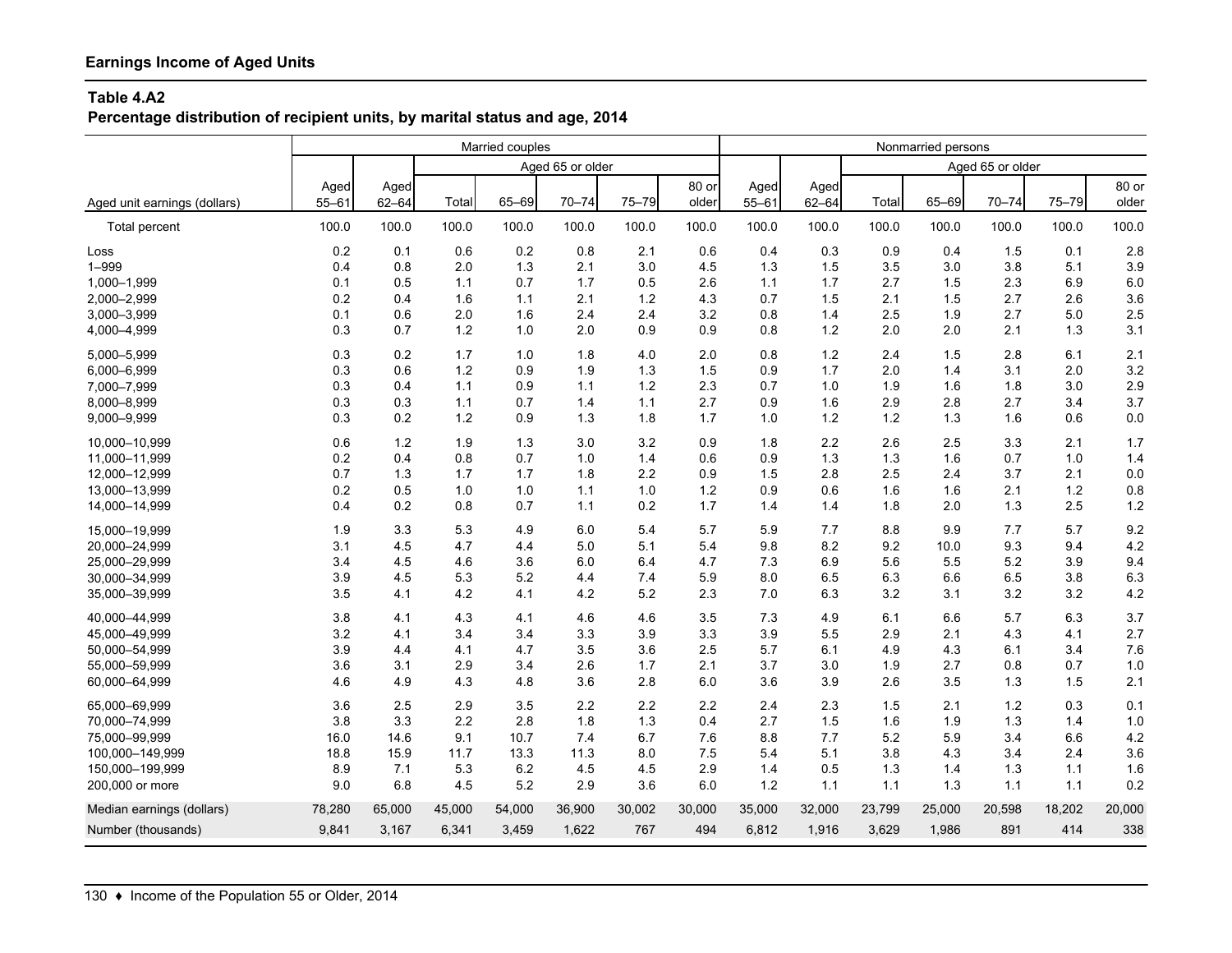**Percentage distribution of recipient units, by marital status and age, 2014**

|                              |           |           | Married couples |        |                  |        |        |           |           | Nonmarried persons |        |                  |        |        |
|------------------------------|-----------|-----------|-----------------|--------|------------------|--------|--------|-----------|-----------|--------------------|--------|------------------|--------|--------|
|                              |           |           |                 |        | Aged 65 or older |        |        |           |           |                    |        | Aged 65 or older |        |        |
|                              | Aged      | Aged      |                 |        |                  |        | 80 or  | Aged      | Aged      |                    |        |                  |        | 80 or  |
| Aged unit earnings (dollars) | $55 - 61$ | $62 - 64$ | Total           | 65-69  | $70 - 74$        | 75-79  | older  | $55 - 61$ | $62 - 64$ | Total              | 65-69  | $70 - 74$        | 75-79  | older  |
| <b>Total percent</b>         | 100.0     | 100.0     | 100.0           | 100.0  | 100.0            | 100.0  | 100.0  | 100.0     | 100.0     | 100.0              | 100.0  | 100.0            | 100.0  | 100.0  |
| Loss                         | 0.2       | 0.1       | 0.6             | 0.2    | 0.8              | 2.1    | 0.6    | 0.4       | 0.3       | 0.9                | 0.4    | 1.5              | 0.1    | 2.8    |
| $1 - 999$                    | 0.4       | 0.8       | 2.0             | 1.3    | 2.1              | 3.0    | 4.5    | 1.3       | 1.5       | 3.5                | 3.0    | 3.8              | 5.1    | 3.9    |
| 1,000-1,999                  | 0.1       | 0.5       | 1.1             | 0.7    | 1.7              | 0.5    | 2.6    | 1.1       | 1.7       | 2.7                | 1.5    | 2.3              | 6.9    | 6.0    |
| 2,000-2,999                  | 0.2       | 0.4       | 1.6             | 1.1    | 2.1              | 1.2    | 4.3    | 0.7       | 1.5       | 2.1                | 1.5    | 2.7              | 2.6    | 3.6    |
| 3,000-3,999                  | 0.1       | 0.6       | 2.0             | 1.6    | 2.4              | 2.4    | 3.2    | 0.8       | 1.4       | 2.5                | 1.9    | 2.7              | 5.0    | 2.5    |
| 4,000-4,999                  | 0.3       | 0.7       | 1.2             | 1.0    | 2.0              | 0.9    | 0.9    | 0.8       | 1.2       | 2.0                | 2.0    | 2.1              | 1.3    | 3.1    |
| 5,000-5,999                  | 0.3       | 0.2       | 1.7             | 1.0    | 1.8              | 4.0    | 2.0    | 0.8       | $1.2$     | 2.4                | 1.5    | 2.8              | 6.1    | 2.1    |
| 6,000-6,999                  | 0.3       | 0.6       | 1.2             | 0.9    | 1.9              | 1.3    | 1.5    | 0.9       | 1.7       | 2.0                | 1.4    | 3.1              | 2.0    | 3.2    |
| 7,000-7,999                  | 0.3       | 0.4       | 1.1             | 0.9    | 1.1              | 1.2    | 2.3    | 0.7       | 1.0       | 1.9                | 1.6    | 1.8              | 3.0    | 2.9    |
| 8,000-8,999                  | 0.3       | 0.3       | 1.1             | 0.7    | 1.4              | 1.1    | 2.7    | 0.9       | 1.6       | 2.9                | 2.8    | 2.7              | 3.4    | 3.7    |
| 9,000-9,999                  | 0.3       | 0.2       | 1.2             | 0.9    | 1.3              | 1.8    | 1.7    | 1.0       | 1.2       | 1.2                | 1.3    | 1.6              | 0.6    | 0.0    |
| 10.000-10.999                | 0.6       | 1.2       | 1.9             | 1.3    | 3.0              | 3.2    | 0.9    | 1.8       | 2.2       | 2.6                | 2.5    | 3.3              | 2.1    | 1.7    |
| 11,000-11,999                | 0.2       | 0.4       | 0.8             | 0.7    | 1.0              | 1.4    | 0.6    | 0.9       | 1.3       | 1.3                | 1.6    | 0.7              | 1.0    | 1.4    |
| 12,000-12,999                | 0.7       | 1.3       | 1.7             | 1.7    | 1.8              | 2.2    | 0.9    | 1.5       | 2.8       | 2.5                | 2.4    | 3.7              | 2.1    | 0.0    |
| 13,000-13,999                | 0.2       | 0.5       | 1.0             | 1.0    | 1.1              | 1.0    | $1.2$  | 0.9       | 0.6       | 1.6                | 1.6    | 2.1              | 1.2    | 0.8    |
| 14,000-14,999                | 0.4       | 0.2       | 0.8             | 0.7    | 1.1              | 0.2    | 1.7    | 1.4       | 1.4       | 1.8                | 2.0    | 1.3              | 2.5    | 1.2    |
| 15,000-19,999                | 1.9       | 3.3       | 5.3             | 4.9    | 6.0              | 5.4    | 5.7    | 5.9       | 7.7       | 8.8                | 9.9    | 7.7              | 5.7    | 9.2    |
| 20,000-24,999                | 3.1       | 4.5       | 4.7             | 4.4    | 5.0              | 5.1    | 5.4    | 9.8       | 8.2       | 9.2                | 10.0   | 9.3              | 9.4    | 4.2    |
| 25,000-29,999                | 3.4       | 4.5       | 4.6             | 3.6    | 6.0              | 6.4    | 4.7    | 7.3       | 6.9       | 5.6                | 5.5    | 5.2              | 3.9    | 9.4    |
| 30,000-34,999                | 3.9       | 4.5       | 5.3             | 5.2    | 4.4              | 7.4    | 5.9    | 8.0       | 6.5       | 6.3                | 6.6    | 6.5              | 3.8    | 6.3    |
| 35,000-39,999                | 3.5       | 4.1       | 4.2             | 4.1    | 4.2              | 5.2    | 2.3    | 7.0       | 6.3       | 3.2                | 3.1    | 3.2              | 3.2    | 4.2    |
| 40.000-44.999                | 3.8       | 4.1       | 4.3             | 4.1    | 4.6              | 4.6    | 3.5    | 7.3       | 4.9       | 6.1                | 6.6    | 5.7              | 6.3    | 3.7    |
| 45,000-49,999                | 3.2       | 4.1       | 3.4             | 3.4    | 3.3              | 3.9    | 3.3    | 3.9       | 5.5       | 2.9                | 2.1    | 4.3              | 4.1    | 2.7    |
| 50,000-54,999                | 3.9       | 4.4       | 4.1             | 4.7    | 3.5              | 3.6    | 2.5    | 5.7       | 6.1       | 4.9                | 4.3    | 6.1              | 3.4    | 7.6    |
| 55,000-59,999                | 3.6       | 3.1       | 2.9             | 3.4    | 2.6              | 1.7    | 2.1    | 3.7       | 3.0       | 1.9                | 2.7    | 0.8              | 0.7    | 1.0    |
| 60,000-64,999                | 4.6       | 4.9       | 4.3             | 4.8    | 3.6              | 2.8    | 6.0    | 3.6       | 3.9       | 2.6                | 3.5    | 1.3              | 1.5    | 2.1    |
| 65,000-69,999                | 3.6       | 2.5       | 2.9             | 3.5    | 2.2              | 2.2    | 2.2    | 2.4       | 2.3       | 1.5                | 2.1    | 1.2              | 0.3    | 0.1    |
| 70,000-74,999                | 3.8       | 3.3       | 2.2             | 2.8    | 1.8              | 1.3    | 0.4    | 2.7       | 1.5       | 1.6                | 1.9    | 1.3              | 1.4    | 1.0    |
| 75,000-99,999                | 16.0      | 14.6      | 9.1             | 10.7   | 7.4              | 6.7    | 7.6    | 8.8       | 7.7       | 5.2                | 5.9    | 3.4              | 6.6    | 4.2    |
| 100,000-149,999              | 18.8      | 15.9      | 11.7            | 13.3   | 11.3             | 8.0    | 7.5    | 5.4       | 5.1       | 3.8                | 4.3    | 3.4              | 2.4    | 3.6    |
| 150,000-199,999              | 8.9       | 7.1       | 5.3             | 6.2    | 4.5              | 4.5    | 2.9    | 1.4       | 0.5       | 1.3                | 1.4    | 1.3              | 1.1    | 1.6    |
| 200,000 or more              | 9.0       | 6.8       | 4.5             | 5.2    | 2.9              | 3.6    | 6.0    | 1.2       | 1.1       | 1.1                | 1.3    | 1.1              | 1.1    | 0.2    |
| Median earnings (dollars)    | 78,280    | 65,000    | 45,000          | 54,000 | 36,900           | 30,002 | 30,000 | 35,000    | 32,000    | 23,799             | 25,000 | 20,598           | 18,202 | 20,000 |
| Number (thousands)           | 9,841     | 3,167     | 6,341           | 3,459  | 1,622            | 767    | 494    | 6,812     | 1,916     | 3,629              | 1,986  | 891              | 414    | 338    |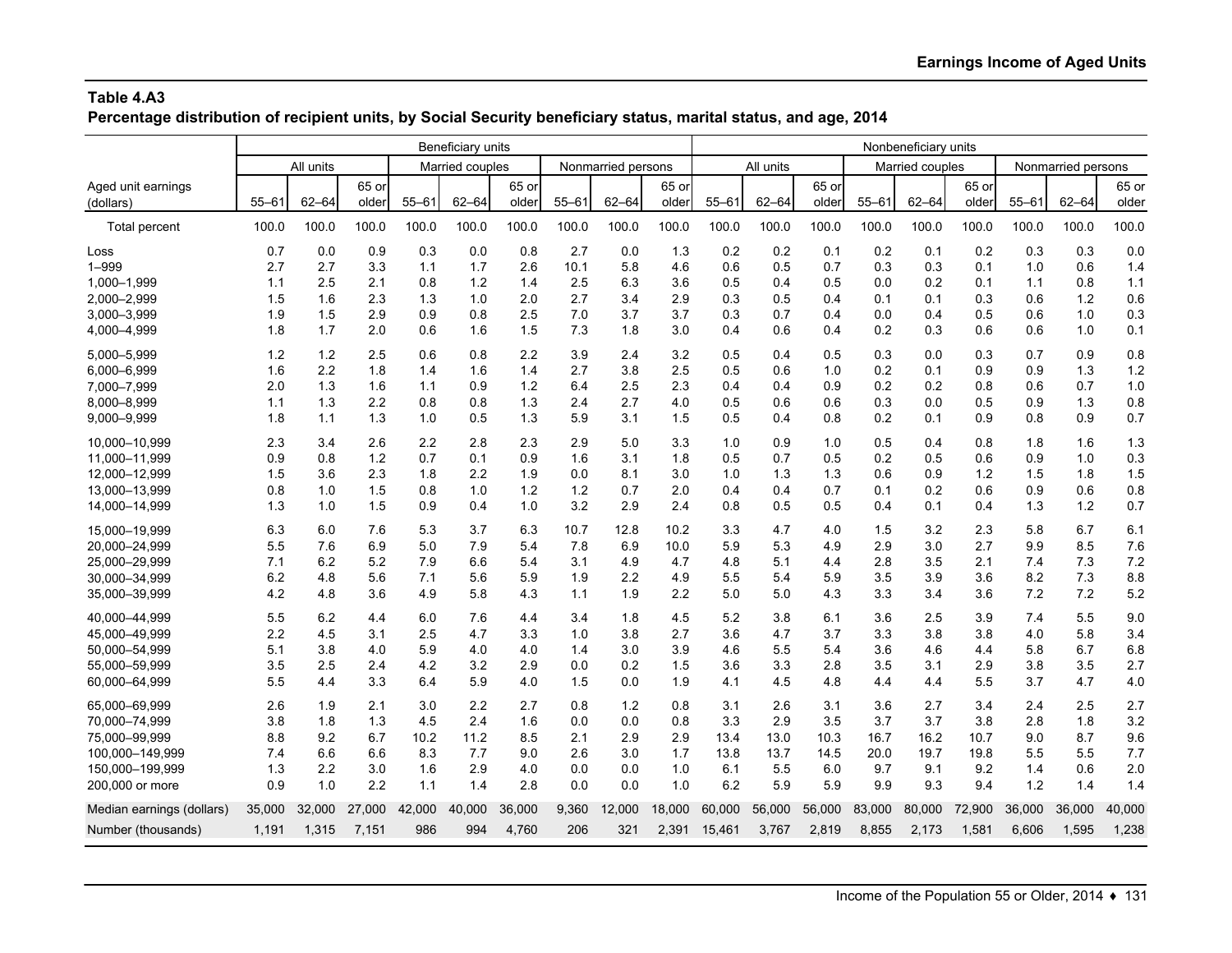**Percentage distribution of recipient units, by Social Security beneficiary status, marital status, and age, 2014**

|                           |           |           |        |           | Beneficiary units |        |           |                    | Nonbeneficiary units |           |           |        |           |                 |        |           |                    |        |
|---------------------------|-----------|-----------|--------|-----------|-------------------|--------|-----------|--------------------|----------------------|-----------|-----------|--------|-----------|-----------------|--------|-----------|--------------------|--------|
|                           |           | All units |        |           | Married couples   |        |           | Nonmarried persons |                      |           | All units |        |           | Married couples |        |           | Nonmarried persons |        |
| Aged unit earnings        |           |           | 65 or  |           |                   | 65 or  |           |                    | 65 or                |           |           | 65 or  |           |                 | 65 or  |           |                    | 65 or  |
| (dollars)                 | $55 - 61$ | $62 - 64$ | older  | $55 - 61$ | $62 - 64$         | older  | $55 - 61$ | $62 - 64$          | older                | $55 - 61$ | $62 - 64$ | older  | $55 - 61$ | $62 - 64$       | older  | $55 - 61$ | $62 - 64$          | older  |
| Total percent             | 100.0     | 100.0     | 100.0  | 100.0     | 100.0             | 100.0  | 100.0     | 100.0              | 100.0                | 100.0     | 100.0     | 100.0  | 100.0     | 100.0           | 100.0  | 100.0     | 100.0              | 100.0  |
| Loss                      | 0.7       | 0.0       | 0.9    | 0.3       | 0.0               | 0.8    | 2.7       | 0.0                | 1.3                  | 0.2       | 0.2       | 0.1    | 0.2       | 0.1             | 0.2    | 0.3       | 0.3                | 0.0    |
| $1 - 999$                 | 2.7       | 2.7       | 3.3    | 1.1       | 1.7               | 2.6    | 10.1      | 5.8                | 4.6                  | 0.6       | 0.5       | 0.7    | 0.3       | 0.3             | 0.1    | 1.0       | 0.6                | 1.4    |
| 1,000-1,999               | 1.1       | 2.5       | 2.1    | 0.8       | 1.2               | 1.4    | 2.5       | 6.3                | 3.6                  | 0.5       | 0.4       | 0.5    | 0.0       | 0.2             | 0.1    | 1.1       | 0.8                | 1.1    |
| 2,000-2,999               | 1.5       | 1.6       | 2.3    | 1.3       | 1.0               | 2.0    | 2.7       | 3.4                | 2.9                  | 0.3       | 0.5       | 0.4    | 0.1       | 0.1             | 0.3    | 0.6       | 1.2                | 0.6    |
| 3,000-3,999               | 1.9       | 1.5       | 2.9    | 0.9       | 0.8               | 2.5    | 7.0       | 3.7                | 3.7                  | 0.3       | 0.7       | 0.4    | 0.0       | 0.4             | 0.5    | 0.6       | 1.0                | 0.3    |
| 4,000-4,999               | 1.8       | 1.7       | 2.0    | 0.6       | 1.6               | 1.5    | 7.3       | 1.8                | 3.0                  | 0.4       | 0.6       | 0.4    | 0.2       | 0.3             | 0.6    | 0.6       | 1.0                | 0.1    |
| 5.000-5.999               | 1.2       | 1.2       | 2.5    | 0.6       | 0.8               | 2.2    | 3.9       | 2.4                | 3.2                  | 0.5       | 0.4       | 0.5    | 0.3       | 0.0             | 0.3    | 0.7       | 0.9                | 0.8    |
| 6,000-6,999               | 1.6       | 2.2       | 1.8    | 1.4       | 1.6               | 1.4    | 2.7       | 3.8                | 2.5                  | 0.5       | 0.6       | 1.0    | 0.2       | 0.1             | 0.9    | 0.9       | 1.3                | 1.2    |
| 7,000-7,999               | 2.0       | 1.3       | 1.6    | 1.1       | 0.9               | 1.2    | 6.4       | 2.5                | 2.3                  | 0.4       | 0.4       | 0.9    | 0.2       | 0.2             | 0.8    | 0.6       | 0.7                | 1.0    |
| 8,000-8,999               | 1.1       | 1.3       | 2.2    | 0.8       | 0.8               | 1.3    | 2.4       | 2.7                | 4.0                  | 0.5       | 0.6       | 0.6    | 0.3       | 0.0             | 0.5    | 0.9       | 1.3                | 0.8    |
| 9,000-9,999               | 1.8       | 1.1       | 1.3    | 1.0       | 0.5               | 1.3    | 5.9       | 3.1                | 1.5                  | 0.5       | 0.4       | 0.8    | 0.2       | 0.1             | 0.9    | 0.8       | 0.9                | 0.7    |
| 10.000-10.999             | 2.3       | 3.4       | 2.6    | 2.2       | 2.8               | 2.3    | 2.9       | 5.0                | 3.3                  | 1.0       | 0.9       | 1.0    | 0.5       | 0.4             | 0.8    | 1.8       | 1.6                | 1.3    |
| 11,000-11,999             | 0.9       | 0.8       | $1.2$  | 0.7       | 0.1               | 0.9    | 1.6       | 3.1                | 1.8                  | 0.5       | 0.7       | 0.5    | 0.2       | 0.5             | 0.6    | 0.9       | 1.0                | 0.3    |
| 12,000-12,999             | 1.5       | 3.6       | 2.3    | 1.8       | 2.2               | 1.9    | 0.0       | 8.1                | 3.0                  | 1.0       | 1.3       | 1.3    | 0.6       | 0.9             | 1.2    | 1.5       | 1.8                | 1.5    |
| 13,000-13,999             | 0.8       | 1.0       | 1.5    | 0.8       | 1.0               | 1.2    | 1.2       | 0.7                | 2.0                  | 0.4       | 0.4       | 0.7    | 0.1       | 0.2             | 0.6    | 0.9       | 0.6                | 0.8    |
| 14,000-14,999             | 1.3       | 1.0       | 1.5    | 0.9       | 0.4               | 1.0    | 3.2       | 2.9                | 2.4                  | 0.8       | 0.5       | 0.5    | 0.4       | 0.1             | 0.4    | 1.3       | $1.2$              | 0.7    |
| 15.000-19.999             | 6.3       | 6.0       | 7.6    | 5.3       | 3.7               | 6.3    | 10.7      | 12.8               | 10.2                 | 3.3       | 4.7       | 4.0    | 1.5       | 3.2             | 2.3    | 5.8       | 6.7                | 6.1    |
| 20.000-24.999             | 5.5       | 7.6       | 6.9    | 5.0       | 7.9               | 5.4    | 7.8       | 6.9                | 10.0                 | 5.9       | 5.3       | 4.9    | 2.9       | 3.0             | 2.7    | 9.9       | 8.5                | 7.6    |
| 25,000-29,999             | 7.1       | 6.2       | 5.2    | 7.9       | 6.6               | 5.4    | 3.1       | 4.9                | 4.7                  | 4.8       | 5.1       | 4.4    | 2.8       | 3.5             | 2.1    | 7.4       | 7.3                | 7.2    |
| 30,000-34,999             | 6.2       | 4.8       | 5.6    | 7.1       | 5.6               | 5.9    | 1.9       | 2.2                | 4.9                  | 5.5       | 5.4       | 5.9    | 3.5       | 3.9             | 3.6    | 8.2       | 7.3                | 8.8    |
| 35,000-39,999             | 4.2       | 4.8       | 3.6    | 4.9       | 5.8               | 4.3    | 1.1       | 1.9                | 2.2                  | 5.0       | 5.0       | 4.3    | 3.3       | 3.4             | 3.6    | 7.2       | 7.2                | 5.2    |
| 40,000-44,999             | 5.5       | 6.2       | 4.4    | 6.0       | 7.6               | 4.4    | 3.4       | 1.8                | 4.5                  | 5.2       | 3.8       | 6.1    | 3.6       | 2.5             | 3.9    | 7.4       | 5.5                | 9.0    |
| 45,000-49,999             | 2.2       | 4.5       | 3.1    | 2.5       | 4.7               | 3.3    | 1.0       | 3.8                | 2.7                  | 3.6       | 4.7       | 3.7    | 3.3       | 3.8             | 3.8    | 4.0       | 5.8                | 3.4    |
| 50,000-54,999             | 5.1       | 3.8       | 4.0    | 5.9       | 4.0               | 4.0    | 1.4       | 3.0                | 3.9                  | 4.6       | 5.5       | 5.4    | 3.6       | 4.6             | 4.4    | 5.8       | 6.7                | 6.8    |
| 55,000-59,999             | 3.5       | 2.5       | 2.4    | 4.2       | 3.2               | 2.9    | 0.0       | 0.2                | 1.5                  | 3.6       | 3.3       | 2.8    | 3.5       | 3.1             | 2.9    | 3.8       | 3.5                | 2.7    |
| 60,000-64,999             | 5.5       | 4.4       | 3.3    | 6.4       | 5.9               | 4.0    | 1.5       | 0.0                | 1.9                  | 4.1       | 4.5       | 4.8    | 4.4       | 4.4             | 5.5    | 3.7       | 4.7                | 4.0    |
| 65,000-69,999             | 2.6       | 1.9       | 2.1    | 3.0       | 2.2               | 2.7    | 0.8       | 1.2                | 0.8                  | 3.1       | 2.6       | 3.1    | 3.6       | 2.7             | 3.4    | 2.4       | 2.5                | 2.7    |
| 70,000-74,999             | 3.8       | 1.8       | 1.3    | 4.5       | 2.4               | 1.6    | 0.0       | 0.0                | 0.8                  | 3.3       | 2.9       | 3.5    | 3.7       | 3.7             | 3.8    | 2.8       | 1.8                | 3.2    |
| 75.000-99.999             | 8.8       | 9.2       | 6.7    | 10.2      | 11.2              | 8.5    | 2.1       | 2.9                | 2.9                  | 13.4      | 13.0      | 10.3   | 16.7      | 16.2            | 10.7   | 9.0       | 8.7                | 9.6    |
| 100,000-149,999           | 7.4       | 6.6       | 6.6    | 8.3       | 7.7               | 9.0    | 2.6       | 3.0                | 1.7                  | 13.8      | 13.7      | 14.5   | 20.0      | 19.7            | 19.8   | 5.5       | 5.5                | 7.7    |
| 150,000-199,999           | 1.3       | 2.2       | 3.0    | 1.6       | 2.9               | 4.0    | 0.0       | 0.0                | 1.0                  | 6.1       | 5.5       | 6.0    | 9.7       | 9.1             | 9.2    | 1.4       | 0.6                | 2.0    |
| 200,000 or more           | 0.9       | 1.0       | 2.2    | 1.1       | 1.4               | 2.8    | 0.0       | 0.0                | 1.0                  | 6.2       | 5.9       | 5.9    | 9.9       | 9.3             | 9.4    | 1.2       | 1.4                | 1.4    |
| Median earnings (dollars) | 35,000    | 32.000    | 27,000 | 42,000    | 40.000            | 36,000 | 9,360     | 12,000             | 18.000               | 60,000    | 56,000    | 56,000 | 83,000    | 80,000          | 72,900 | 36,000    | 36.000             | 40,000 |
| Number (thousands)        | 1,191     | 1,315     | 7,151  | 986       | 994               | 4,760  | 206       | 321                | 2.391                | 15,461    | 3,767     | 2,819  | 8,855     | 2,173           | 1,581  | 6,606     | 1.595              | 1,238  |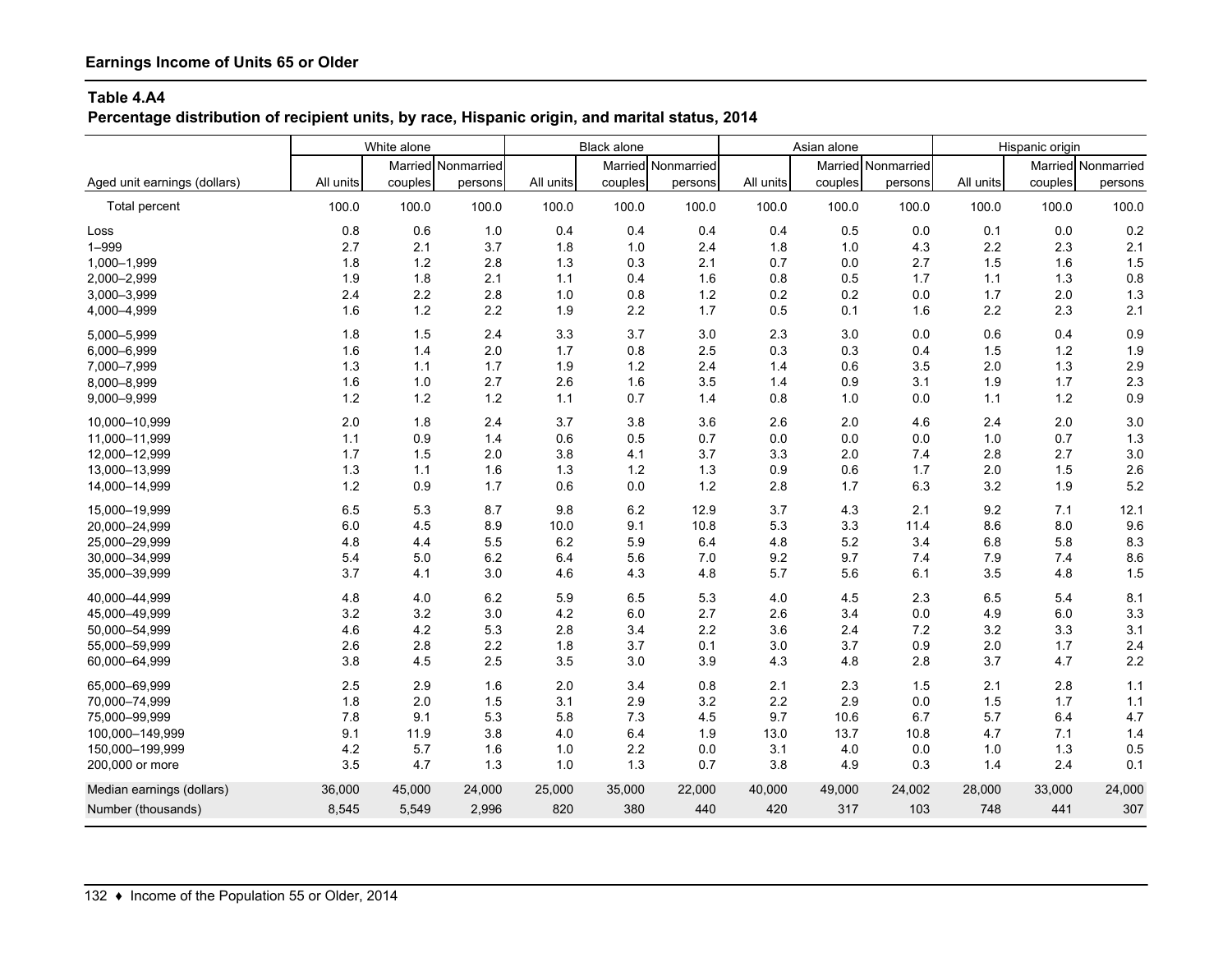**Percentage distribution of recipient units, by race, Hispanic origin, and marital status, 2014**

|                              | White alone |         |                    | Black alone |         |                    | Asian alone |         |                    | Hispanic origin |         |                    |
|------------------------------|-------------|---------|--------------------|-------------|---------|--------------------|-------------|---------|--------------------|-----------------|---------|--------------------|
|                              |             |         | Married Nonmarried |             |         | Married Nonmarried |             |         | Married Nonmarried |                 |         | Married Nonmarried |
| Aged unit earnings (dollars) | All units   | couples | persons            | All units   | couples | persons            | All units   | couples | persons            | All units       | couples | persons            |
| Total percent                | 100.0       | 100.0   | 100.0              | 100.0       | 100.0   | 100.0              | 100.0       | 100.0   | 100.0              | 100.0           | 100.0   | 100.0              |
| Loss                         | 0.8         | 0.6     | 1.0                | 0.4         | 0.4     | 0.4                | 0.4         | 0.5     | 0.0                | 0.1             | 0.0     | 0.2                |
| $1 - 999$                    | 2.7         | 2.1     | 3.7                | 1.8         | 1.0     | 2.4                | 1.8         | 1.0     | 4.3                | 2.2             | 2.3     | 2.1                |
| 1,000-1,999                  | 1.8         | 1.2     | 2.8                | 1.3         | 0.3     | 2.1                | 0.7         | 0.0     | 2.7                | 1.5             | 1.6     | 1.5                |
| 2,000-2,999                  | 1.9         | 1.8     | 2.1                | 1.1         | 0.4     | 1.6                | 0.8         | 0.5     | 1.7                | 1.1             | 1.3     | 0.8                |
| 3,000-3,999                  | 2.4         | 2.2     | 2.8                | 1.0         | 0.8     | 1.2                | 0.2         | 0.2     | 0.0                | 1.7             | 2.0     | 1.3                |
| 4,000-4,999                  | 1.6         | $1.2$   | 2.2                | 1.9         | 2.2     | 1.7                | 0.5         | 0.1     | 1.6                | 2.2             | 2.3     | 2.1                |
| 5,000-5,999                  | 1.8         | 1.5     | 2.4                | 3.3         | 3.7     | 3.0                | 2.3         | 3.0     | 0.0                | 0.6             | 0.4     | 0.9                |
| 6,000-6,999                  | 1.6         | 1.4     | 2.0                | 1.7         | 0.8     | 2.5                | 0.3         | 0.3     | 0.4                | 1.5             | 1.2     | 1.9                |
| 7,000-7,999                  | 1.3         | 1.1     | 1.7                | 1.9         | 1.2     | 2.4                | 1.4         | 0.6     | 3.5                | 2.0             | 1.3     | 2.9                |
| 8,000-8,999                  | 1.6         | 1.0     | 2.7                | 2.6         | 1.6     | 3.5                | 1.4         | 0.9     | 3.1                | 1.9             | 1.7     | 2.3                |
| 9,000-9,999                  | 1.2         | 1.2     | 1.2                | 1.1         | 0.7     | 1.4                | 0.8         | 1.0     | 0.0                | 1.1             | 1.2     | 0.9                |
| 10,000-10,999                | 2.0         | 1.8     | 2.4                | 3.7         | 3.8     | 3.6                | 2.6         | 2.0     | 4.6                | 2.4             | 2.0     | 3.0                |
| 11,000-11,999                | 1.1         | 0.9     | 1.4                | 0.6         | 0.5     | 0.7                | 0.0         | 0.0     | 0.0                | 1.0             | 0.7     | 1.3                |
| 12,000-12,999                | 1.7         | 1.5     | 2.0                | 3.8         | 4.1     | 3.7                | 3.3         | 2.0     | 7.4                | 2.8             | 2.7     | 3.0                |
| 13,000-13,999                | 1.3         | 1.1     | 1.6                | 1.3         | 1.2     | 1.3                | 0.9         | 0.6     | 1.7                | 2.0             | 1.5     | 2.6                |
| 14,000-14,999                | 1.2         | 0.9     | 1.7                | 0.6         | 0.0     | 1.2                | 2.8         | 1.7     | 6.3                | 3.2             | 1.9     | 5.2                |
| 15,000-19,999                | 6.5         | 5.3     | 8.7                | 9.8         | 6.2     | 12.9               | 3.7         | 4.3     | 2.1                | 9.2             | 7.1     | 12.1               |
| 20,000-24,999                | 6.0         | 4.5     | 8.9                | 10.0        | 9.1     | 10.8               | 5.3         | 3.3     | 11.4               | 8.6             | 8.0     | 9.6                |
| 25,000-29,999                | 4.8         | 4.4     | 5.5                | 6.2         | 5.9     | 6.4                | 4.8         | 5.2     | 3.4                | 6.8             | 5.8     | 8.3                |
| 30,000-34,999                | 5.4         | 5.0     | 6.2                | 6.4         | 5.6     | 7.0                | 9.2         | 9.7     | 7.4                | 7.9             | 7.4     | 8.6                |
| 35,000-39,999                | 3.7         | 4.1     | 3.0                | 4.6         | 4.3     | 4.8                | 5.7         | 5.6     | 6.1                | 3.5             | 4.8     | 1.5                |
| 40,000-44,999                | 4.8         | 4.0     | 6.2                | 5.9         | 6.5     | 5.3                | 4.0         | 4.5     | 2.3                | 6.5             | 5.4     | 8.1                |
| 45,000-49,999                | 3.2         | 3.2     | 3.0                | 4.2         | 6.0     | 2.7                | 2.6         | 3.4     | 0.0                | 4.9             | 6.0     | 3.3                |
| 50,000-54,999                | 4.6         | 4.2     | 5.3                | 2.8         | 3.4     | 2.2                | 3.6         | 2.4     | 7.2                | 3.2             | 3.3     | 3.1                |
| 55,000-59,999                | 2.6         | 2.8     | 2.2                | 1.8         | 3.7     | 0.1                | 3.0         | 3.7     | 0.9                | 2.0             | 1.7     | 2.4                |
| 60,000-64,999                | 3.8         | 4.5     | 2.5                | 3.5         | 3.0     | 3.9                | 4.3         | 4.8     | 2.8                | 3.7             | 4.7     | 2.2                |
| 65,000-69,999                | 2.5         | 2.9     | 1.6                | 2.0         | 3.4     | 0.8                | 2.1         | 2.3     | 1.5                | 2.1             | 2.8     | $1.1$              |
| 70.000-74.999                | 1.8         | 2.0     | 1.5                | 3.1         | 2.9     | 3.2                | 2.2         | 2.9     | 0.0                | 1.5             | 1.7     | $1.1$              |
| 75,000-99,999                | 7.8         | 9.1     | 5.3                | 5.8         | 7.3     | 4.5                | 9.7         | 10.6    | 6.7                | 5.7             | 6.4     | 4.7                |
| 100,000-149,999              | 9.1         | 11.9    | 3.8                | 4.0         | 6.4     | 1.9                | 13.0        | 13.7    | 10.8               | 4.7             | 7.1     | 1.4                |
| 150,000-199,999              | 4.2         | 5.7     | 1.6                | 1.0         | 2.2     | 0.0                | 3.1         | 4.0     | 0.0                | 1.0             | 1.3     | 0.5                |
| 200,000 or more              | 3.5         | 4.7     | 1.3                | 1.0         | 1.3     | 0.7                | 3.8         | 4.9     | 0.3                | 1.4             | 2.4     | 0.1                |
| Median earnings (dollars)    | 36,000      | 45,000  | 24,000             | 25,000      | 35,000  | 22,000             | 40,000      | 49,000  | 24,002             | 28,000          | 33,000  | 24,000             |
| Number (thousands)           | 8,545       | 5,549   | 2,996              | 820         | 380     | 440                | 420         | 317     | 103                | 748             | 441     | 307                |
|                              |             |         |                    |             |         |                    |             |         |                    |                 |         |                    |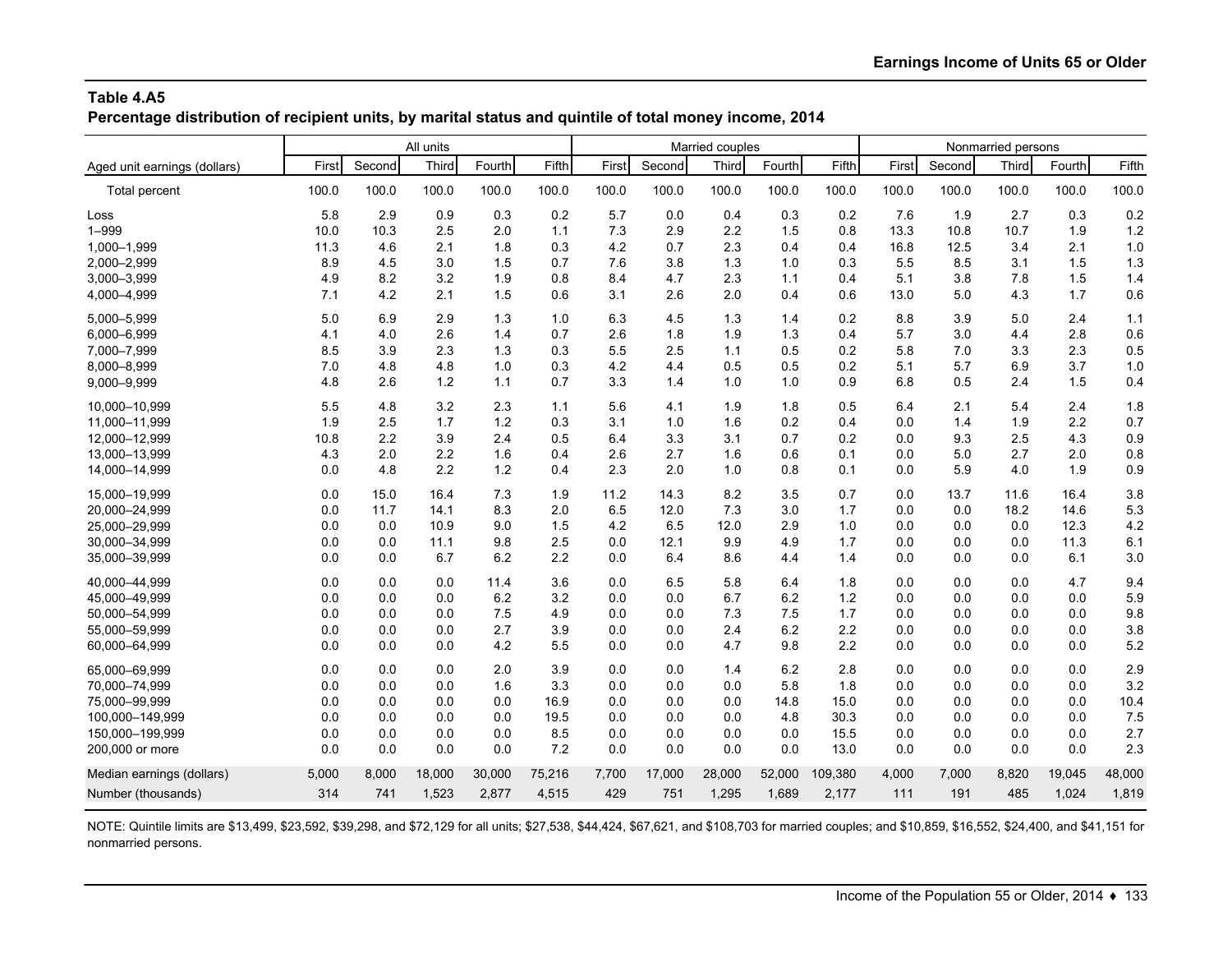**Percentage distribution of recipient units, by marital status and quintile of total money income, 2014**

|                              |       |        | All units |        |        |       |        | Married couples |        |         | Nonmarried persons |        |       |        |        |
|------------------------------|-------|--------|-----------|--------|--------|-------|--------|-----------------|--------|---------|--------------------|--------|-------|--------|--------|
| Aged unit earnings (dollars) | First | Second | Third     | Fourth | Fifth  | First | Second | Third           | Fourth | Fifth   | First              | Second | Third | Fourth | Fifth  |
| Total percent                | 100.0 | 100.0  | 100.0     | 100.0  | 100.0  | 100.0 | 100.0  | 100.0           | 100.0  | 100.0   | 100.0              | 100.0  | 100.0 | 100.0  | 100.0  |
| Loss                         | 5.8   | 2.9    | 0.9       | 0.3    | 0.2    | 5.7   | 0.0    | 0.4             | 0.3    | 0.2     | 7.6                | 1.9    | 2.7   | 0.3    | 0.2    |
| $1 - 999$                    | 10.0  | 10.3   | 2.5       | 2.0    | 1.1    | 7.3   | 2.9    | 2.2             | 1.5    | 0.8     | 13.3               | 10.8   | 10.7  | 1.9    | 1.2    |
| 1,000-1,999                  | 11.3  | 4.6    | 2.1       | 1.8    | 0.3    | 4.2   | 0.7    | 2.3             | 0.4    | 0.4     | 16.8               | 12.5   | 3.4   | 2.1    | 1.0    |
| 2,000-2,999                  | 8.9   | 4.5    | 3.0       | 1.5    | 0.7    | 7.6   | 3.8    | 1.3             | 1.0    | 0.3     | 5.5                | 8.5    | 3.1   | 1.5    | 1.3    |
| 3,000-3,999                  | 4.9   | 8.2    | 3.2       | 1.9    | 0.8    | 8.4   | 4.7    | 2.3             | 1.1    | 0.4     | 5.1                | 3.8    | 7.8   | 1.5    | 1.4    |
| 4,000-4,999                  | 7.1   | 4.2    | 2.1       | 1.5    | 0.6    | 3.1   | 2.6    | 2.0             | 0.4    | 0.6     | 13.0               | 5.0    | 4.3   | 1.7    | 0.6    |
| 5,000-5,999                  | 5.0   | 6.9    | 2.9       | 1.3    | 1.0    | 6.3   | 4.5    | 1.3             | 1.4    | 0.2     | 8.8                | 3.9    | 5.0   | 2.4    | 1.1    |
| 6,000-6,999                  | 4.1   | 4.0    | 2.6       | 1.4    | 0.7    | 2.6   | 1.8    | 1.9             | 1.3    | 0.4     | 5.7                | 3.0    | 4.4   | 2.8    | 0.6    |
| 7,000-7,999                  | 8.5   | 3.9    | 2.3       | 1.3    | 0.3    | 5.5   | 2.5    | 1.1             | 0.5    | 0.2     | 5.8                | 7.0    | 3.3   | 2.3    | 0.5    |
| 8,000-8,999                  | 7.0   | 4.8    | 4.8       | 1.0    | 0.3    | 4.2   | 4.4    | 0.5             | 0.5    | 0.2     | 5.1                | 5.7    | 6.9   | 3.7    | 1.0    |
| 9,000-9,999                  | 4.8   | 2.6    | 1.2       | 1.1    | 0.7    | 3.3   | 1.4    | 1.0             | 1.0    | 0.9     | 6.8                | 0.5    | 2.4   | 1.5    | 0.4    |
| 10.000-10.999                | 5.5   | 4.8    | 3.2       | 2.3    | 1.1    | 5.6   | 4.1    | 1.9             | 1.8    | 0.5     | 6.4                | 2.1    | 5.4   | 2.4    | 1.8    |
| 11,000-11,999                | 1.9   | 2.5    | 1.7       | 1.2    | 0.3    | 3.1   | 1.0    | 1.6             | 0.2    | 0.4     | 0.0                | 1.4    | 1.9   | 2.2    | 0.7    |
| 12,000-12,999                | 10.8  | 2.2    | 3.9       | 2.4    | 0.5    | 6.4   | 3.3    | 3.1             | 0.7    | 0.2     | 0.0                | 9.3    | 2.5   | 4.3    | 0.9    |
| 13,000-13,999                | 4.3   | 2.0    | 2.2       | 1.6    | 0.4    | 2.6   | 2.7    | 1.6             | 0.6    | 0.1     | 0.0                | 5.0    | 2.7   | 2.0    | 0.8    |
| 14,000-14,999                | 0.0   | 4.8    | 2.2       | 1.2    | 0.4    | 2.3   | 2.0    | 1.0             | 0.8    | 0.1     | 0.0                | 5.9    | 4.0   | 1.9    | 0.9    |
| 15,000-19,999                | 0.0   | 15.0   | 16.4      | 7.3    | 1.9    | 11.2  | 14.3   | 8.2             | 3.5    | 0.7     | 0.0                | 13.7   | 11.6  | 16.4   | 3.8    |
| 20,000-24,999                | 0.0   | 11.7   | 14.1      | 8.3    | 2.0    | 6.5   | 12.0   | 7.3             | 3.0    | 1.7     | 0.0                | 0.0    | 18.2  | 14.6   | 5.3    |
| 25,000-29,999                | 0.0   | 0.0    | 10.9      | 9.0    | 1.5    | 4.2   | 6.5    | 12.0            | 2.9    | 1.0     | 0.0                | 0.0    | 0.0   | 12.3   | 4.2    |
| 30,000-34,999                | 0.0   | 0.0    | 11.1      | 9.8    | 2.5    | 0.0   | 12.1   | 9.9             | 4.9    | 1.7     | 0.0                | 0.0    | 0.0   | 11.3   | 6.1    |
| 35,000-39,999                | 0.0   | 0.0    | 6.7       | 6.2    | 2.2    | 0.0   | 6.4    | 8.6             | 4.4    | 1.4     | 0.0                | 0.0    | 0.0   | 6.1    | 3.0    |
| 40,000-44,999                | 0.0   | 0.0    | 0.0       | 11.4   | 3.6    | 0.0   | 6.5    | 5.8             | 6.4    | 1.8     | 0.0                | 0.0    | 0.0   | 4.7    | 9.4    |
| 45,000-49,999                | 0.0   | 0.0    | 0.0       | 6.2    | 3.2    | 0.0   | 0.0    | 6.7             | 6.2    | 1.2     | 0.0                | 0.0    | 0.0   | 0.0    | 5.9    |
| 50,000-54,999                | 0.0   | 0.0    | 0.0       | 7.5    | 4.9    | 0.0   | 0.0    | 7.3             | 7.5    | 1.7     | 0.0                | 0.0    | 0.0   | 0.0    | 9.8    |
| 55,000-59,999                | 0.0   | 0.0    | 0.0       | 2.7    | 3.9    | 0.0   | 0.0    | 2.4             | 6.2    | 2.2     | 0.0                | 0.0    | 0.0   | 0.0    | 3.8    |
| 60,000-64,999                | 0.0   | 0.0    | 0.0       | 4.2    | 5.5    | 0.0   | 0.0    | 4.7             | 9.8    | 2.2     | 0.0                | 0.0    | 0.0   | 0.0    | 5.2    |
| 65,000-69,999                | 0.0   | 0.0    | 0.0       | 2.0    | 3.9    | 0.0   | 0.0    | 1.4             | 6.2    | 2.8     | 0.0                | 0.0    | 0.0   | 0.0    | 2.9    |
| 70,000-74,999                | 0.0   | 0.0    | 0.0       | 1.6    | 3.3    | 0.0   | 0.0    | 0.0             | 5.8    | 1.8     | 0.0                | 0.0    | 0.0   | 0.0    | 3.2    |
| 75,000-99,999                | 0.0   | 0.0    | 0.0       | 0.0    | 16.9   | 0.0   | 0.0    | 0.0             | 14.8   | 15.0    | 0.0                | 0.0    | 0.0   | 0.0    | 10.4   |
| 100,000-149,999              | 0.0   | 0.0    | 0.0       | 0.0    | 19.5   | 0.0   | 0.0    | 0.0             | 4.8    | 30.3    | 0.0                | 0.0    | 0.0   | 0.0    | 7.5    |
| 150,000-199,999              | 0.0   | 0.0    | 0.0       | 0.0    | 8.5    | 0.0   | 0.0    | 0.0             | 0.0    | 15.5    | 0.0                | 0.0    | 0.0   | 0.0    | 2.7    |
| 200,000 or more              | 0.0   | 0.0    | 0.0       | 0.0    | 7.2    | 0.0   | 0.0    | 0.0             | 0.0    | 13.0    | 0.0                | 0.0    | 0.0   | 0.0    | 2.3    |
| Median earnings (dollars)    | 5,000 | 8,000  | 18,000    | 30,000 | 75,216 | 7.700 | 17,000 | 28,000          | 52,000 | 109,380 | 4,000              | 7,000  | 8,820 | 19,045 | 48,000 |
| Number (thousands)           | 314   | 741    | 1,523     | 2,877  | 4,515  | 429   | 751    | 1,295           | 1,689  | 2,177   | 111                | 191    | 485   | 1,024  | 1,819  |
|                              |       |        |           |        |        |       |        |                 |        |         |                    |        |       |        |        |

NOTE: Quintile limits are \$13,499, \$23,592, \$39,298, and \$72,129 for all units; \$27,538, \$44,424, \$67,621, and \$108,703 for married couples; and \$10,859, \$16,552, \$24,400, and \$41,151 for nonmarried persons.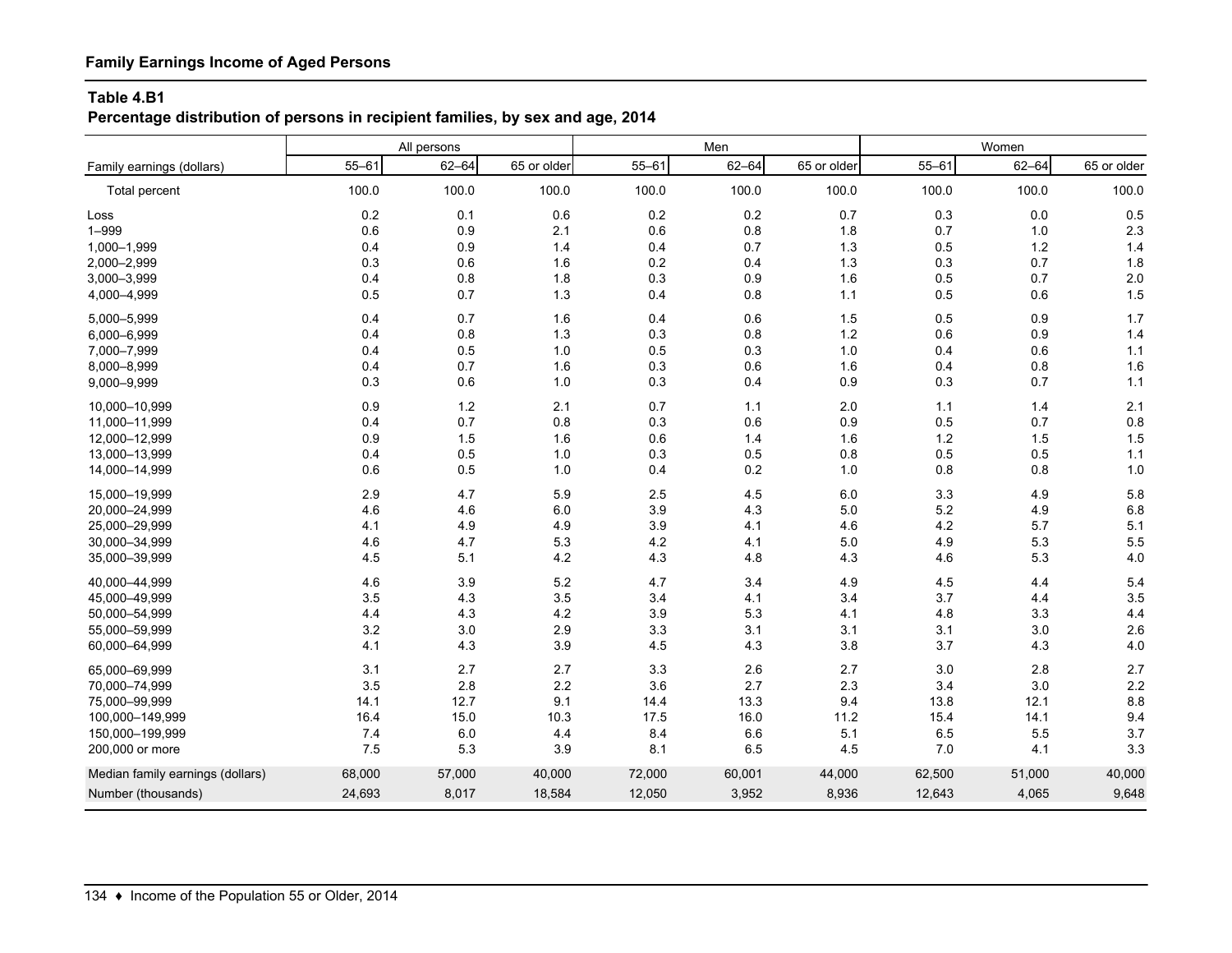# **Percentage distribution of persons in recipient families, by sex and age, 2014**

|                                  |           | All persons |             |           | Men       |             | Women     |           |             |
|----------------------------------|-----------|-------------|-------------|-----------|-----------|-------------|-----------|-----------|-------------|
| Family earnings (dollars)        | $55 - 61$ | $62 - 64$   | 65 or older | $55 - 61$ | $62 - 64$ | 65 or older | $55 - 61$ | $62 - 64$ | 65 or older |
| Total percent                    | 100.0     | 100.0       | 100.0       | 100.0     | 100.0     | 100.0       | 100.0     | 100.0     | 100.0       |
| Loss                             | $0.2\,$   | 0.1         | 0.6         | 0.2       | 0.2       | 0.7         | 0.3       | 0.0       | 0.5         |
| $1 - 999$                        | 0.6       | 0.9         | 2.1         | 0.6       | 0.8       | 1.8         | 0.7       | 1.0       | 2.3         |
| 1,000-1,999                      | 0.4       | 0.9         | 1.4         | 0.4       | 0.7       | 1.3         | 0.5       | $1.2$     | $1.4$       |
| 2,000-2,999                      | 0.3       | 0.6         | 1.6         | 0.2       | 0.4       | 1.3         | 0.3       | 0.7       | 1.8         |
| 3,000-3,999                      | 0.4       | 0.8         | 1.8         | 0.3       | 0.9       | 1.6         | 0.5       | 0.7       | 2.0         |
| 4,000-4,999                      | 0.5       | 0.7         | 1.3         | 0.4       | 0.8       | $1.1$       | 0.5       | 0.6       | 1.5         |
| 5,000-5,999                      | 0.4       | 0.7         | 1.6         | 0.4       | 0.6       | 1.5         | 0.5       | 0.9       | 1.7         |
| 6,000-6,999                      | 0.4       | 0.8         | 1.3         | 0.3       | 0.8       | $1.2$       | 0.6       | 0.9       | 1.4         |
| 7,000-7,999                      | 0.4       | 0.5         | 1.0         | 0.5       | 0.3       | 1.0         | 0.4       | 0.6       | 1.1         |
| 8,000-8,999                      | 0.4       | 0.7         | 1.6         | 0.3       | 0.6       | 1.6         | 0.4       | 0.8       | 1.6         |
| 9,000-9,999                      | 0.3       | 0.6         | 1.0         | 0.3       | 0.4       | 0.9         | 0.3       | 0.7       | 1.1         |
| 10,000-10,999                    | 0.9       | 1.2         | 2.1         | 0.7       | 1.1       | 2.0         | 1.1       | 1.4       | 2.1         |
| 11,000-11,999                    | 0.4       | 0.7         | 0.8         | 0.3       | 0.6       | 0.9         | 0.5       | 0.7       | 0.8         |
| 12,000-12,999                    | 0.9       | 1.5         | 1.6         | 0.6       | 1.4       | 1.6         | 1.2       | 1.5       | 1.5         |
| 13,000-13,999                    | 0.4       | 0.5         | 1.0         | 0.3       | 0.5       | 0.8         | 0.5       | 0.5       | $1.1$       |
| 14,000-14,999                    | 0.6       | 0.5         | 1.0         | 0.4       | 0.2       | 1.0         | 0.8       | 0.8       | 1.0         |
| 15,000-19,999                    | 2.9       | 4.7         | 5.9         | 2.5       | 4.5       | $6.0\,$     | 3.3       | 4.9       | 5.8         |
| 20,000-24,999                    | 4.6       | 4.6         | 6.0         | 3.9       | 4.3       | 5.0         | 5.2       | 4.9       | 6.8         |
| 25,000-29,999                    | 4.1       | 4.9         | 4.9         | 3.9       | 4.1       | 4.6         | 4.2       | 5.7       | 5.1         |
| 30,000-34,999                    | 4.6       | 4.7         | 5.3         | 4.2       | 4.1       | $5.0$       | 4.9       | 5.3       | 5.5         |
| 35,000-39,999                    | 4.5       | 5.1         | 4.2         | 4.3       | 4.8       | 4.3         | 4.6       | 5.3       | 4.0         |
| 40,000-44,999                    | 4.6       | 3.9         | 5.2         | 4.7       | 3.4       | 4.9         | 4.5       | 4.4       | 5.4         |
| 45,000-49,999                    | 3.5       | 4.3         | 3.5         | 3.4       | 4.1       | 3.4         | 3.7       | 4.4       | 3.5         |
| 50,000-54,999                    | 4.4       | 4.3         | 4.2         | 3.9       | 5.3       | 4.1         | 4.8       | 3.3       | 4.4         |
| 55,000-59,999                    | 3.2       | 3.0         | 2.9         | 3.3       | 3.1       | 3.1         | 3.1       | $3.0\,$   | 2.6         |
| 60,000-64,999                    | 4.1       | 4.3         | 3.9         | 4.5       | 4.3       | 3.8         | 3.7       | 4.3       | 4.0         |
| 65,000-69,999                    | 3.1       | 2.7         | 2.7         | 3.3       | 2.6       | 2.7         | 3.0       | 2.8       | 2.7         |
| 70,000-74,999                    | 3.5       | 2.8         | 2.2         | 3.6       | 2.7       | 2.3         | 3.4       | 3.0       | 2.2         |
| 75,000-99,999                    | 14.1      | 12.7        | 9.1         | 14.4      | 13.3      | 9.4         | 13.8      | 12.1      | 8.8         |
| 100,000-149,999                  | 16.4      | 15.0        | 10.3        | 17.5      | 16.0      | 11.2        | 15.4      | 14.1      | 9.4         |
| 150,000-199,999                  | 7.4       | 6.0         | 4.4         | 8.4       | 6.6       | 5.1         | 6.5       | 5.5       | 3.7         |
| 200,000 or more                  | 7.5       | 5.3         | 3.9         | 8.1       | 6.5       | 4.5         | 7.0       | 4.1       | 3.3         |
| Median family earnings (dollars) | 68,000    | 57,000      | 40,000      | 72,000    | 60,001    | 44,000      | 62,500    | 51,000    | 40,000      |
| Number (thousands)               | 24,693    | 8,017       | 18,584      | 12,050    | 3,952     | 8,936       | 12,643    | 4,065     | 9,648       |
|                                  |           |             |             |           |           |             |           |           |             |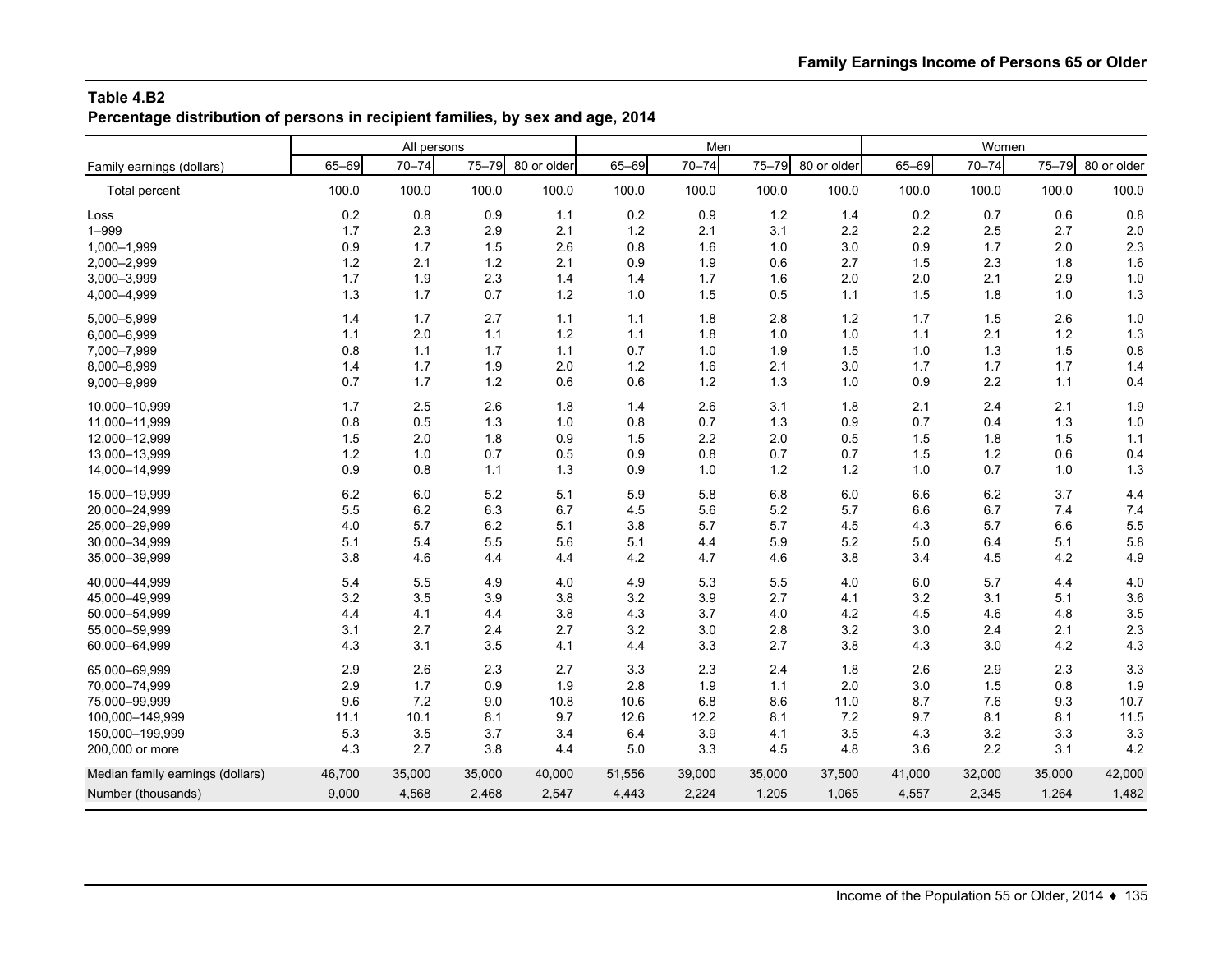**Percentage distribution of persons in recipient families, by sex and age, 2014**

|                                  |           | All persons |           |             |        | Men       |           |             | Women  |           |           |             |
|----------------------------------|-----------|-------------|-----------|-------------|--------|-----------|-----------|-------------|--------|-----------|-----------|-------------|
| Family earnings (dollars)        | $65 - 69$ | $70 - 74$   | $75 - 79$ | 80 or older | 65-69  | $70 - 74$ | $75 - 79$ | 80 or older | 65-69  | $70 - 74$ | $75 - 79$ | 80 or older |
| Total percent                    | 100.0     | 100.0       | 100.0     | 100.0       | 100.0  | 100.0     | 100.0     | 100.0       | 100.0  | 100.0     | 100.0     | 100.0       |
| Loss                             | 0.2       | 0.8         | 0.9       | 1.1         | 0.2    | 0.9       | 1.2       | 1.4         | 0.2    | 0.7       | 0.6       | 0.8         |
| $1 - 999$                        | 1.7       | 2.3         | 2.9       | 2.1         | 1.2    | 2.1       | 3.1       | 2.2         | 2.2    | 2.5       | 2.7       | 2.0         |
| 1,000-1,999                      | 0.9       | 1.7         | 1.5       | 2.6         | 0.8    | 1.6       | 1.0       | 3.0         | 0.9    | 1.7       | 2.0       | 2.3         |
| 2,000-2,999                      | $1.2$     | 2.1         | 1.2       | 2.1         | 0.9    | 1.9       | 0.6       | 2.7         | 1.5    | 2.3       | 1.8       | 1.6         |
| 3,000-3,999                      | 1.7       | 1.9         | 2.3       | 1.4         | 1.4    | 1.7       | 1.6       | 2.0         | 2.0    | 2.1       | 2.9       | 1.0         |
| 4,000-4,999                      | 1.3       | 1.7         | 0.7       | $1.2$       | 1.0    | 1.5       | 0.5       | $1.1$       | 1.5    | 1.8       | 1.0       | 1.3         |
| 5,000-5,999                      | 1.4       | 1.7         | 2.7       | 1.1         | 1.1    | 1.8       | 2.8       | 1.2         | 1.7    | 1.5       | 2.6       | 1.0         |
| 6,000-6,999                      | 1.1       | 2.0         | 1.1       | 1.2         | 1.1    | 1.8       | 1.0       | 1.0         | $1.1$  | 2.1       | 1.2       | 1.3         |
| 7,000-7,999                      | 0.8       | 1.1         | 1.7       | $1.1$       | 0.7    | 1.0       | 1.9       | 1.5         | 1.0    | 1.3       | 1.5       | 0.8         |
| 8,000-8,999                      | 1.4       | 1.7         | 1.9       | 2.0         | 1.2    | 1.6       | 2.1       | 3.0         | 1.7    | 1.7       | 1.7       | 1.4         |
| 9,000-9,999                      | 0.7       | 1.7         | 1.2       | 0.6         | 0.6    | $1.2$     | 1.3       | 1.0         | 0.9    | 2.2       | 1.1       | 0.4         |
| 10,000-10,999                    | 1.7       | 2.5         | 2.6       | 1.8         | 1.4    | 2.6       | 3.1       | 1.8         | 2.1    | 2.4       | 2.1       | 1.9         |
| 11,000-11,999                    | 0.8       | 0.5         | 1.3       | 1.0         | 0.8    | 0.7       | 1.3       | 0.9         | 0.7    | 0.4       | 1.3       | 1.0         |
| 12,000-12,999                    | 1.5       | 2.0         | 1.8       | 0.9         | 1.5    | 2.2       | 2.0       | 0.5         | 1.5    | 1.8       | 1.5       | $1.1$       |
| 13,000-13,999                    | 1.2       | 1.0         | 0.7       | 0.5         | 0.9    | 0.8       | 0.7       | 0.7         | 1.5    | 1.2       | 0.6       | 0.4         |
| 14,000-14,999                    | 0.9       | 0.8         | 1.1       | 1.3         | 0.9    | 1.0       | 1.2       | 1.2         | 1.0    | 0.7       | 1.0       | 1.3         |
| 15.000-19.999                    | 6.2       | 6.0         | 5.2       | 5.1         | 5.9    | 5.8       | 6.8       | 6.0         | 6.6    | 6.2       | 3.7       | 4.4         |
| 20,000-24,999                    | 5.5       | 6.2         | 6.3       | 6.7         | 4.5    | 5.6       | 5.2       | 5.7         | 6.6    | 6.7       | 7.4       | 7.4         |
| 25,000-29,999                    | 4.0       | 5.7         | 6.2       | 5.1         | 3.8    | 5.7       | 5.7       | 4.5         | 4.3    | 5.7       | 6.6       | 5.5         |
| 30,000-34,999                    | 5.1       | 5.4         | 5.5       | 5.6         | 5.1    | 4.4       | 5.9       | 5.2         | 5.0    | 6.4       | 5.1       | 5.8         |
| 35,000-39,999                    | 3.8       | 4.6         | 4.4       | 4.4         | 4.2    | 4.7       | 4.6       | 3.8         | 3.4    | 4.5       | 4.2       | 4.9         |
| 40.000-44.999                    | 5.4       | 5.5         | 4.9       | 4.0         | 4.9    | 5.3       | 5.5       | 4.0         | 6.0    | 5.7       | 4.4       | 4.0         |
| 45,000-49,999                    | 3.2       | 3.5         | 3.9       | 3.8         | 3.2    | 3.9       | 2.7       | 4.1         | 3.2    | 3.1       | 5.1       | 3.6         |
| 50,000-54,999                    | 4.4       | 4.1         | 4.4       | 3.8         | 4.3    | 3.7       | 4.0       | 4.2         | 4.5    | 4.6       | 4.8       | 3.5         |
| 55,000-59,999                    | 3.1       | 2.7         | 2.4       | 2.7         | 3.2    | 3.0       | 2.8       | 3.2         | 3.0    | 2.4       | 2.1       | 2.3         |
| 60,000-64,999                    | 4.3       | 3.1         | 3.5       | 4.1         | 4.4    | 3.3       | 2.7       | 3.8         | 4.3    | 3.0       | 4.2       | 4.3         |
| 65,000-69,999                    | 2.9       | 2.6         | 2.3       | 2.7         | 3.3    | 2.3       | 2.4       | 1.8         | 2.6    | 2.9       | 2.3       | 3.3         |
| 70,000-74,999                    | 2.9       | 1.7         | 0.9       | 1.9         | 2.8    | 1.9       | 1.1       | 2.0         | 3.0    | 1.5       | 0.8       | 1.9         |
| 75,000-99,999                    | 9.6       | 7.2         | 9.0       | 10.8        | 10.6   | 6.8       | 8.6       | 11.0        | 8.7    | 7.6       | 9.3       | 10.7        |
| 100,000-149,999                  | 11.1      | 10.1        | 8.1       | 9.7         | 12.6   | 12.2      | 8.1       | 7.2         | 9.7    | 8.1       | 8.1       | 11.5        |
| 150,000-199,999                  | 5.3       | 3.5         | 3.7       | 3.4         | 6.4    | 3.9       | 4.1       | 3.5         | 4.3    | 3.2       | 3.3       | 3.3         |
| 200,000 or more                  | 4.3       | 2.7         | 3.8       | 4.4         | 5.0    | 3.3       | 4.5       | 4.8         | 3.6    | 2.2       | 3.1       | 4.2         |
| Median family earnings (dollars) | 46,700    | 35,000      | 35,000    | 40,000      | 51,556 | 39,000    | 35,000    | 37,500      | 41,000 | 32,000    | 35,000    | 42,000      |
| Number (thousands)               | 9,000     | 4,568       | 2,468     | 2,547       | 4,443  | 2,224     | 1,205     | 1,065       | 4,557  | 2,345     | 1,264     | 1,482       |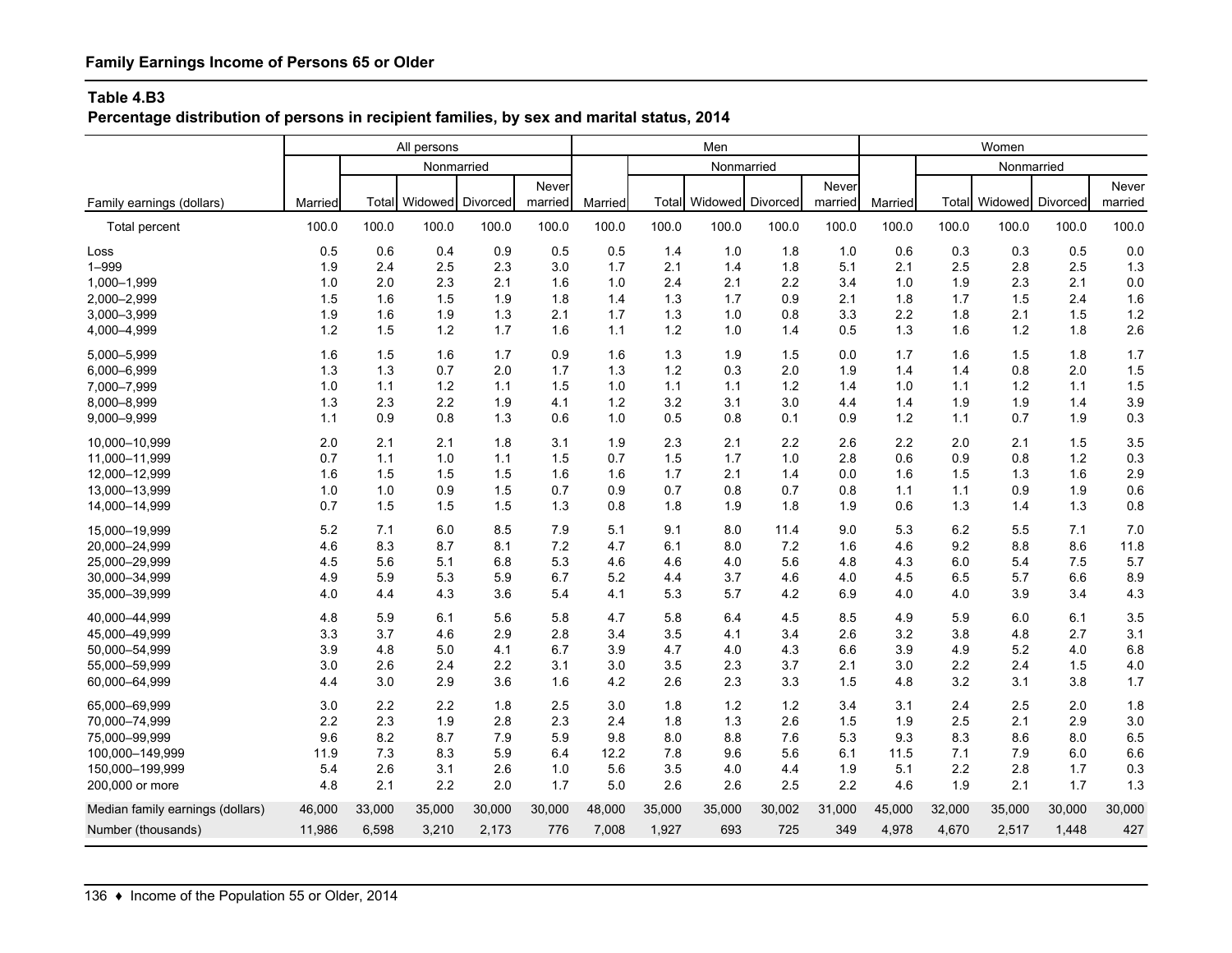**Percentage distribution of persons in recipient families, by sex and marital status, 2014**

|                                  | All persons |        |            |          |         |         |        | Men        |          |         |         |        | Women      |          |         |
|----------------------------------|-------------|--------|------------|----------|---------|---------|--------|------------|----------|---------|---------|--------|------------|----------|---------|
|                                  |             |        | Nonmarried |          |         |         |        | Nonmarried |          |         |         |        | Nonmarried |          |         |
|                                  |             |        |            |          | Never   |         |        |            |          | Never   |         |        |            |          | Never   |
| Family earnings (dollars)        | Married     | Total  | Widowed    | Divorced | married | Married | Total  | Widowed    | Divorced | married | Married | Total  | Widowed    | Divorced | married |
| Total percent                    | 100.0       | 100.0  | 100.0      | 100.0    | 100.0   | 100.0   | 100.0  | 100.0      | 100.0    | 100.0   | 100.0   | 100.0  | 100.0      | 100.0    | 100.0   |
| Loss                             | 0.5         | 0.6    | 0.4        | 0.9      | 0.5     | 0.5     | 1.4    | 1.0        | 1.8      | 1.0     | 0.6     | 0.3    | 0.3        | 0.5      | 0.0     |
| $1 - 999$                        | 1.9         | 2.4    | 2.5        | 2.3      | 3.0     | 1.7     | 2.1    | 1.4        | 1.8      | 5.1     | 2.1     | 2.5    | 2.8        | 2.5      | 1.3     |
| 1,000-1,999                      | 1.0         | 2.0    | 2.3        | 2.1      | 1.6     | 1.0     | 2.4    | 2.1        | 2.2      | 3.4     | 1.0     | 1.9    | 2.3        | 2.1      | 0.0     |
| 2,000-2,999                      | 1.5         | 1.6    | 1.5        | 1.9      | 1.8     | 1.4     | 1.3    | 1.7        | 0.9      | 2.1     | 1.8     | 1.7    | 1.5        | 2.4      | 1.6     |
| 3,000-3,999                      | 1.9         | 1.6    | 1.9        | 1.3      | 2.1     | 1.7     | 1.3    | 1.0        | 0.8      | 3.3     | 2.2     | 1.8    | 2.1        | 1.5      | 1.2     |
| 4,000-4,999                      | 1.2         | 1.5    | 1.2        | 1.7      | 1.6     | 1.1     | 1.2    | 1.0        | 1.4      | 0.5     | 1.3     | 1.6    | 1.2        | 1.8      | 2.6     |
| 5,000-5,999                      | 1.6         | 1.5    | 1.6        | 1.7      | 0.9     | 1.6     | 1.3    | 1.9        | 1.5      | 0.0     | 1.7     | 1.6    | 1.5        | 1.8      | 1.7     |
| 6,000-6,999                      | 1.3         | 1.3    | 0.7        | 2.0      | 1.7     | 1.3     | 1.2    | 0.3        | 2.0      | 1.9     | 1.4     | 1.4    | 0.8        | 2.0      | 1.5     |
| 7,000-7,999                      | 1.0         | 1.1    | 1.2        | 1.1      | 1.5     | 1.0     | 1.1    | 1.1        | 1.2      | 1.4     | 1.0     | 1.1    | 1.2        | 1.1      | 1.5     |
| 8,000-8,999                      | 1.3         | 2.3    | 2.2        | 1.9      | 4.1     | 1.2     | 3.2    | 3.1        | 3.0      | 4.4     | 1.4     | 1.9    | 1.9        | 1.4      | 3.9     |
| 9,000-9,999                      | 1.1         | 0.9    | 0.8        | 1.3      | 0.6     | 1.0     | 0.5    | 0.8        | 0.1      | 0.9     | 1.2     | 1.1    | 0.7        | 1.9      | 0.3     |
| 10,000-10,999                    | 2.0         | 2.1    | 2.1        | 1.8      | 3.1     | 1.9     | 2.3    | 2.1        | 2.2      | 2.6     | 2.2     | 2.0    | 2.1        | 1.5      | 3.5     |
| 11,000-11,999                    | 0.7         | 1.1    | 1.0        | 1.1      | 1.5     | 0.7     | 1.5    | 1.7        | 1.0      | 2.8     | 0.6     | 0.9    | 0.8        | 1.2      | 0.3     |
| 12,000-12,999                    | 1.6         | 1.5    | 1.5        | 1.5      | 1.6     | 1.6     | 1.7    | 2.1        | 1.4      | 0.0     | 1.6     | 1.5    | 1.3        | 1.6      | 2.9     |
| 13,000-13,999                    | 1.0         | 1.0    | 0.9        | 1.5      | 0.7     | 0.9     | 0.7    | 0.8        | 0.7      | 0.8     | 1.1     | 1.1    | 0.9        | 1.9      | 0.6     |
| 14,000-14,999                    | 0.7         | 1.5    | 1.5        | 1.5      | 1.3     | 0.8     | 1.8    | 1.9        | 1.8      | 1.9     | 0.6     | 1.3    | 1.4        | 1.3      | 0.8     |
| 15,000-19,999                    | 5.2         | 7.1    | 6.0        | 8.5      | 7.9     | 5.1     | 9.1    | 8.0        | 11.4     | 9.0     | 5.3     | 6.2    | 5.5        | 7.1      | 7.0     |
| 20,000-24,999                    | 4.6         | 8.3    | 8.7        | 8.1      | 7.2     | 4.7     | 6.1    | 8.0        | 7.2      | 1.6     | 4.6     | 9.2    | 8.8        | 8.6      | 11.8    |
| 25,000-29,999                    | 4.5         | 5.6    | 5.1        | 6.8      | 5.3     | 4.6     | 4.6    | 4.0        | 5.6      | 4.8     | 4.3     | 6.0    | 5.4        | 7.5      | 5.7     |
| 30,000-34,999                    | 4.9         | 5.9    | 5.3        | 5.9      | 6.7     | 5.2     | 4.4    | 3.7        | 4.6      | 4.0     | 4.5     | 6.5    | 5.7        | 6.6      | 8.9     |
| 35,000-39,999                    | 4.0         | 4.4    | 4.3        | 3.6      | 5.4     | 4.1     | 5.3    | 5.7        | 4.2      | 6.9     | 4.0     | 4.0    | 3.9        | 3.4      | 4.3     |
| 40,000-44,999                    | 4.8         | 5.9    | 6.1        | 5.6      | 5.8     | 4.7     | 5.8    | 6.4        | 4.5      | 8.5     | 4.9     | 5.9    | 6.0        | 6.1      | 3.5     |
| 45,000-49,999                    | 3.3         | 3.7    | 4.6        | 2.9      | 2.8     | 3.4     | 3.5    | 4.1        | 3.4      | 2.6     | 3.2     | 3.8    | 4.8        | 2.7      | 3.1     |
| 50,000-54,999                    | 3.9         | 4.8    | 5.0        | 4.1      | 6.7     | 3.9     | 4.7    | 4.0        | 4.3      | 6.6     | 3.9     | 4.9    | 5.2        | 4.0      | 6.8     |
| 55,000-59,999                    | 3.0         | 2.6    | 2.4        | 2.2      | 3.1     | 3.0     | 3.5    | 2.3        | 3.7      | 2.1     | 3.0     | 2.2    | 2.4        | 1.5      | 4.0     |
| 60,000-64,999                    | 4.4         | 3.0    | 2.9        | 3.6      | 1.6     | 4.2     | 2.6    | 2.3        | 3.3      | 1.5     | 4.8     | 3.2    | 3.1        | 3.8      | 1.7     |
| 65,000-69,999                    | 3.0         | 2.2    | 2.2        | 1.8      | 2.5     | 3.0     | 1.8    | 1.2        | 1.2      | 3.4     | 3.1     | 2.4    | 2.5        | 2.0      | 1.8     |
| 70,000-74,999                    | 2.2         | 2.3    | 1.9        | 2.8      | 2.3     | 2.4     | 1.8    | 1.3        | 2.6      | 1.5     | 1.9     | 2.5    | 2.1        | 2.9      | 3.0     |
| 75.000-99.999                    | 9.6         | 8.2    | 8.7        | 7.9      | 5.9     | 9.8     | 8.0    | 8.8        | 7.6      | 5.3     | 9.3     | 8.3    | 8.6        | 8.0      | 6.5     |
| 100,000-149,999                  | 11.9        | 7.3    | 8.3        | 5.9      | 6.4     | 12.2    | 7.8    | 9.6        | 5.6      | 6.1     | 11.5    | 7.1    | 7.9        | 6.0      | 6.6     |
| 150,000-199,999                  | 5.4         | 2.6    | 3.1        | 2.6      | 1.0     | 5.6     | 3.5    | 4.0        | 4.4      | 1.9     | 5.1     | 2.2    | 2.8        | 1.7      | 0.3     |
| 200,000 or more                  | 4.8         | 2.1    | 2.2        | 2.0      | 1.7     | 5.0     | 2.6    | 2.6        | 2.5      | 2.2     | 4.6     | 1.9    | 2.1        | 1.7      | 1.3     |
| Median family earnings (dollars) | 46,000      | 33,000 | 35,000     | 30,000   | 30,000  | 48,000  | 35,000 | 35,000     | 30,002   | 31,000  | 45,000  | 32,000 | 35,000     | 30,000   | 30,000  |
| Number (thousands)               | 11,986      | 6,598  | 3,210      | 2,173    | 776     | 7,008   | 1,927  | 693        | 725      | 349     | 4,978   | 4,670  | 2,517      | 1,448    | 427     |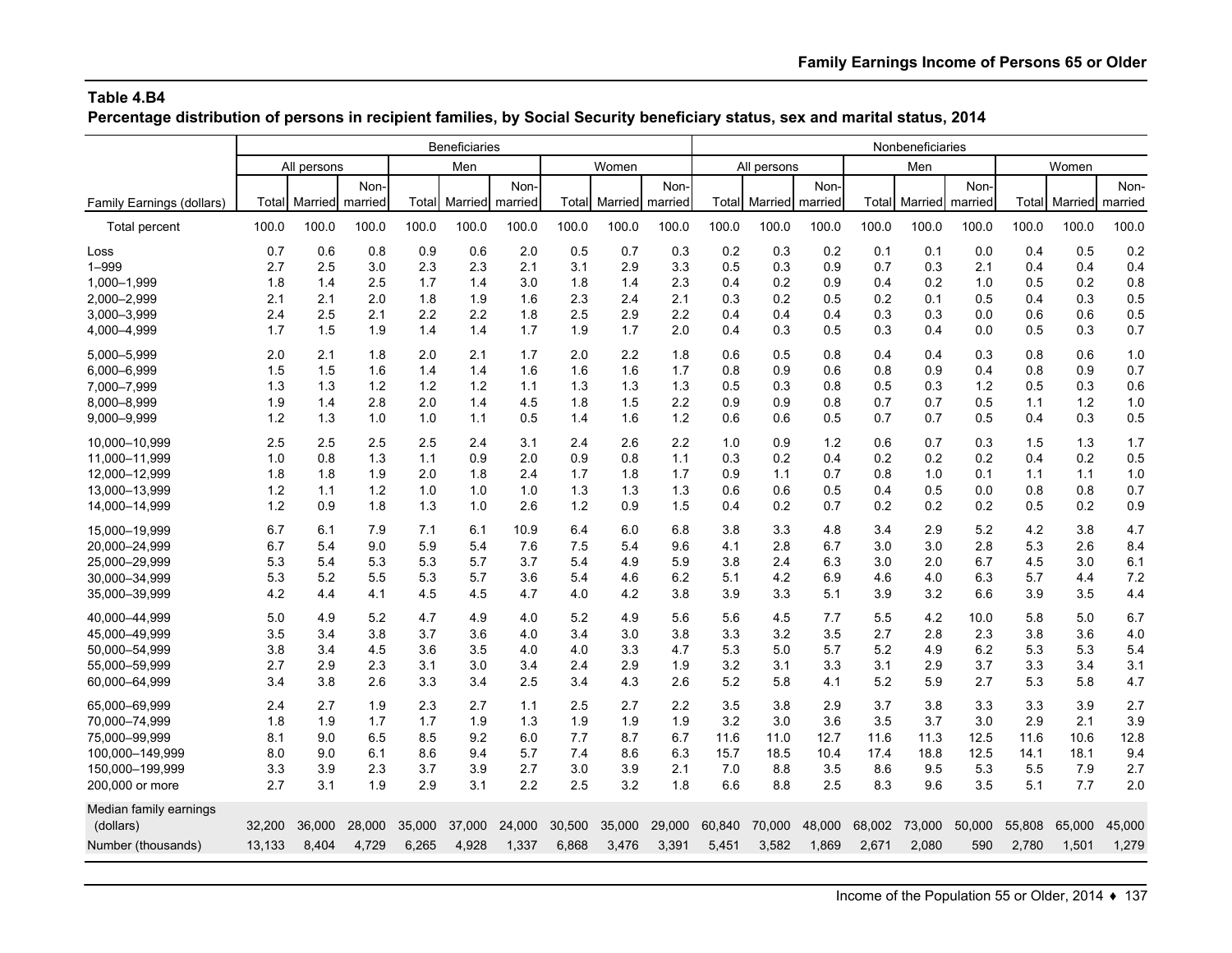**Percentage distribution of persons in recipient families, by Social Security beneficiary status, sex and marital status, 2014**

|                           |        | Beneficiaries |         |        |                 |        |        |         |         |        |             |         | Nonbeneficiaries |         |         |        |         |         |
|---------------------------|--------|---------------|---------|--------|-----------------|--------|--------|---------|---------|--------|-------------|---------|------------------|---------|---------|--------|---------|---------|
|                           |        | All persons   |         |        | Men             |        |        | Women   |         |        | All persons |         |                  | Men     |         |        | Women   |         |
|                           |        |               | Non-    |        |                 | Non-   |        |         | Non-    |        |             | Non-    |                  |         | Non-    |        |         | Non-    |
| Family Earnings (dollars) | Total  | Married       | married | Total  | Married married |        | Total  | Married | married | Total  | Married     | married | Total            | Married | married | Total  | Married | married |
| <b>Total percent</b>      | 100.0  | 100.0         | 100.0   | 100.0  | 100.0           | 100.0  | 100.0  | 100.0   | 100.0   | 100.0  | 100.0       | 100.0   | 100.0            | 100.0   | 100.0   | 100.0  | 100.0   | 100.0   |
| Loss                      | 0.7    | 0.6           | 0.8     | 0.9    | 0.6             | 2.0    | 0.5    | 0.7     | 0.3     | 0.2    | 0.3         | 0.2     | 0.1              | 0.1     | 0.0     | 0.4    | 0.5     | 0.2     |
| $1 - 999$                 | 2.7    | 2.5           | 3.0     | 2.3    | 2.3             | 2.1    | 3.1    | 2.9     | 3.3     | 0.5    | 0.3         | 0.9     | 0.7              | 0.3     | 2.1     | 0.4    | 0.4     | 0.4     |
| 1,000-1,999               | 1.8    | 1.4           | 2.5     | 1.7    | 1.4             | 3.0    | 1.8    | 1.4     | 2.3     | 0.4    | 0.2         | 0.9     | 0.4              | 0.2     | 1.0     | 0.5    | 0.2     | 0.8     |
| 2,000-2,999               | 2.1    | 2.1           | 2.0     | 1.8    | 1.9             | 1.6    | 2.3    | 2.4     | 2.1     | 0.3    | 0.2         | 0.5     | 0.2              | 0.1     | 0.5     | 0.4    | 0.3     | 0.5     |
| 3,000-3,999               | 2.4    | 2.5           | 2.1     | 2.2    | 2.2             | 1.8    | 2.5    | 2.9     | 2.2     | 0.4    | 0.4         | 0.4     | 0.3              | 0.3     | 0.0     | 0.6    | 0.6     | 0.5     |
| 4,000-4,999               | 1.7    | 1.5           | 1.9     | 1.4    | 1.4             | 1.7    | 1.9    | 1.7     | 2.0     | 0.4    | 0.3         | 0.5     | 0.3              | 0.4     | 0.0     | 0.5    | 0.3     | 0.7     |
| 5,000-5,999               | 2.0    | 2.1           | 1.8     | 2.0    | 2.1             | 1.7    | 2.0    | 2.2     | 1.8     | 0.6    | 0.5         | 0.8     | 0.4              | 0.4     | 0.3     | 0.8    | 0.6     | 1.0     |
| 6,000-6,999               | 1.5    | 1.5           | 1.6     | 1.4    | 1.4             | 1.6    | 1.6    | 1.6     | 1.7     | 0.8    | 0.9         | 0.6     | 0.8              | 0.9     | 0.4     | 0.8    | 0.9     | 0.7     |
| 7,000-7,999               | 1.3    | 1.3           | 1.2     | 1.2    | 1.2             | 1.1    | 1.3    | 1.3     | 1.3     | 0.5    | 0.3         | 0.8     | 0.5              | 0.3     | 1.2     | 0.5    | 0.3     | 0.6     |
| 8,000-8,999               | 1.9    | 1.4           | 2.8     | 2.0    | 1.4             | 4.5    | 1.8    | 1.5     | 2.2     | 0.9    | 0.9         | 0.8     | 0.7              | 0.7     | 0.5     | 1.1    | 1.2     | 1.0     |
| 9,000-9,999               | 1.2    | 1.3           | 1.0     | 1.0    | 1.1             | 0.5    | 1.4    | 1.6     | $1.2$   | 0.6    | 0.6         | 0.5     | 0.7              | 0.7     | 0.5     | 0.4    | 0.3     | 0.5     |
| 10.000-10.999             | 2.5    | 2.5           | 2.5     | 2.5    | 2.4             | 3.1    | 2.4    | 2.6     | 2.2     | 1.0    | 0.9         | 1.2     | 0.6              | 0.7     | 0.3     | 1.5    | 1.3     | 1.7     |
| 11,000-11,999             | 1.0    | 0.8           | 1.3     | 1.1    | 0.9             | 2.0    | 0.9    | 0.8     | 1.1     | 0.3    | 0.2         | 0.4     | 0.2              | 0.2     | 0.2     | 0.4    | 0.2     | 0.5     |
| 12,000-12,999             | 1.8    | 1.8           | 1.9     | 2.0    | 1.8             | 2.4    | 1.7    | 1.8     | 1.7     | 0.9    | 1.1         | 0.7     | 0.8              | 1.0     | 0.1     | 1.1    | 1.1     | 1.0     |
| 13,000-13,999             | 1.2    | 1.1           | 1.2     | 1.0    | 1.0             | 1.0    | 1.3    | 1.3     | 1.3     | 0.6    | 0.6         | 0.5     | 0.4              | 0.5     | 0.0     | 0.8    | 0.8     | 0.7     |
| 14,000-14,999             | 1.2    | 0.9           | 1.8     | 1.3    | 1.0             | 2.6    | 1.2    | 0.9     | 1.5     | 0.4    | 0.2         | 0.7     | 0.2              | 0.2     | 0.2     | 0.5    | 0.2     | 0.9     |
| 15.000-19.999             | 6.7    | 6.1           | 7.9     | 7.1    | 6.1             | 10.9   | 6.4    | 6.0     | 6.8     | 3.8    | 3.3         | 4.8     | 3.4              | 2.9     | 5.2     | 4.2    | 3.8     | 4.7     |
| 20,000-24,999             | 6.7    | 5.4           | 9.0     | 5.9    | 5.4             | 7.6    | 7.5    | 5.4     | 9.6     | 4.1    | 2.8         | 6.7     | 3.0              | 3.0     | 2.8     | 5.3    | 2.6     | 8.4     |
| 25,000-29,999             | 5.3    | 5.4           | 5.3     | 5.3    | 5.7             | 3.7    | 5.4    | 4.9     | 5.9     | 3.8    | 2.4         | 6.3     | 3.0              | 2.0     | 6.7     | 4.5    | 3.0     | 6.1     |
| 30,000-34,999             | 5.3    | 5.2           | 5.5     | 5.3    | 5.7             | 3.6    | 5.4    | 4.6     | 6.2     | 5.1    | 4.2         | 6.9     | 4.6              | 4.0     | 6.3     | 5.7    | 4.4     | 7.2     |
| 35,000-39,999             | 4.2    | 4.4           | 4.1     | 4.5    | 4.5             | 4.7    | 4.0    | 4.2     | 3.8     | 3.9    | 3.3         | 5.1     | 3.9              | 3.2     | 6.6     | 3.9    | 3.5     | 4.4     |
| 40.000-44.999             | 5.0    | 4.9           | 5.2     | 4.7    | 4.9             | 4.0    | 5.2    | 4.9     | 5.6     | 5.6    | 4.5         | 7.7     | 5.5              | 4.2     | 10.0    | 5.8    | 5.0     | 6.7     |
| 45.000-49.999             | 3.5    | 3.4           | 3.8     | 3.7    | 3.6             | 4.0    | 3.4    | 3.0     | 3.8     | 3.3    | 3.2         | 3.5     | 2.7              | 2.8     | 2.3     | 3.8    | 3.6     | 4.0     |
| 50,000-54,999             | 3.8    | 3.4           | 4.5     | 3.6    | 3.5             | 4.0    | 4.0    | 3.3     | 4.7     | 5.3    | 5.0         | 5.7     | 5.2              | 4.9     | 6.2     | 5.3    | 5.3     | 5.4     |
| 55,000-59,999             | 2.7    | 2.9           | 2.3     | 3.1    | 3.0             | 3.4    | 2.4    | 2.9     | 1.9     | 3.2    | 3.1         | 3.3     | 3.1              | 2.9     | 3.7     | 3.3    | 3.4     | 3.1     |
| 60,000-64,999             | 3.4    | 3.8           | 2.6     | 3.3    | 3.4             | 2.5    | 3.4    | 4.3     | 2.6     | 5.2    | 5.8         | 4.1     | 5.2              | 5.9     | 2.7     | 5.3    | 5.8     | 4.7     |
| 65,000-69,999             | 2.4    | 2.7           | 1.9     | 2.3    | 2.7             | 1.1    | 2.5    | 2.7     | 2.2     | 3.5    | 3.8         | 2.9     | 3.7              | 3.8     | 3.3     | 3.3    | 3.9     | 2.7     |
| 70,000-74,999             | 1.8    | 1.9           | 1.7     | 1.7    | 1.9             | 1.3    | 1.9    | 1.9     | 1.9     | 3.2    | 3.0         | 3.6     | 3.5              | 3.7     | 3.0     | 2.9    | 2.1     | 3.9     |
| 75,000-99,999             | 8.1    | 9.0           | 6.5     | 8.5    | 9.2             | 6.0    | 7.7    | 8.7     | 6.7     | 11.6   | 11.0        | 12.7    | 11.6             | 11.3    | 12.5    | 11.6   | 10.6    | 12.8    |
| 100,000-149,999           | 8.0    | 9.0           | 6.1     | 8.6    | 9.4             | 5.7    | 7.4    | 8.6     | 6.3     | 15.7   | 18.5        | 10.4    | 17.4             | 18.8    | 12.5    | 14.1   | 18.1    | 9.4     |
| 150,000-199,999           | 3.3    | 3.9           | 2.3     | 3.7    | 3.9             | 2.7    | 3.0    | 3.9     | 2.1     | 7.0    | 8.8         | 3.5     | 8.6              | 9.5     | 5.3     | 5.5    | 7.9     | 2.7     |
| 200,000 or more           | 2.7    | 3.1           | 1.9     | 2.9    | 3.1             | 2.2    | 2.5    | 3.2     | 1.8     | 6.6    | 8.8         | 2.5     | 8.3              | 9.6     | 3.5     | 5.1    | 7.7     | 2.0     |
| Median family earnings    |        |               |         |        |                 |        |        |         |         |        |             |         |                  |         |         |        |         |         |
| (dollars)                 | 32,200 | 36,000        | 28,000  | 35,000 | 37,000          | 24,000 | 30,500 | 35,000  | 29,000  | 60,840 | 70,000      | 48,000  | 68,002           | 73,000  | 50,000  | 55.808 | 65,000  | 45,000  |
| Number (thousands)        | 13,133 | 8,404         | 4,729   | 6,265  | 4,928           | 1,337  | 6,868  | 3,476   | 3,391   | 5,451  | 3,582       | 1,869   | 2,671            | 2,080   | 590     | 2,780  | 1,501   | 1,279   |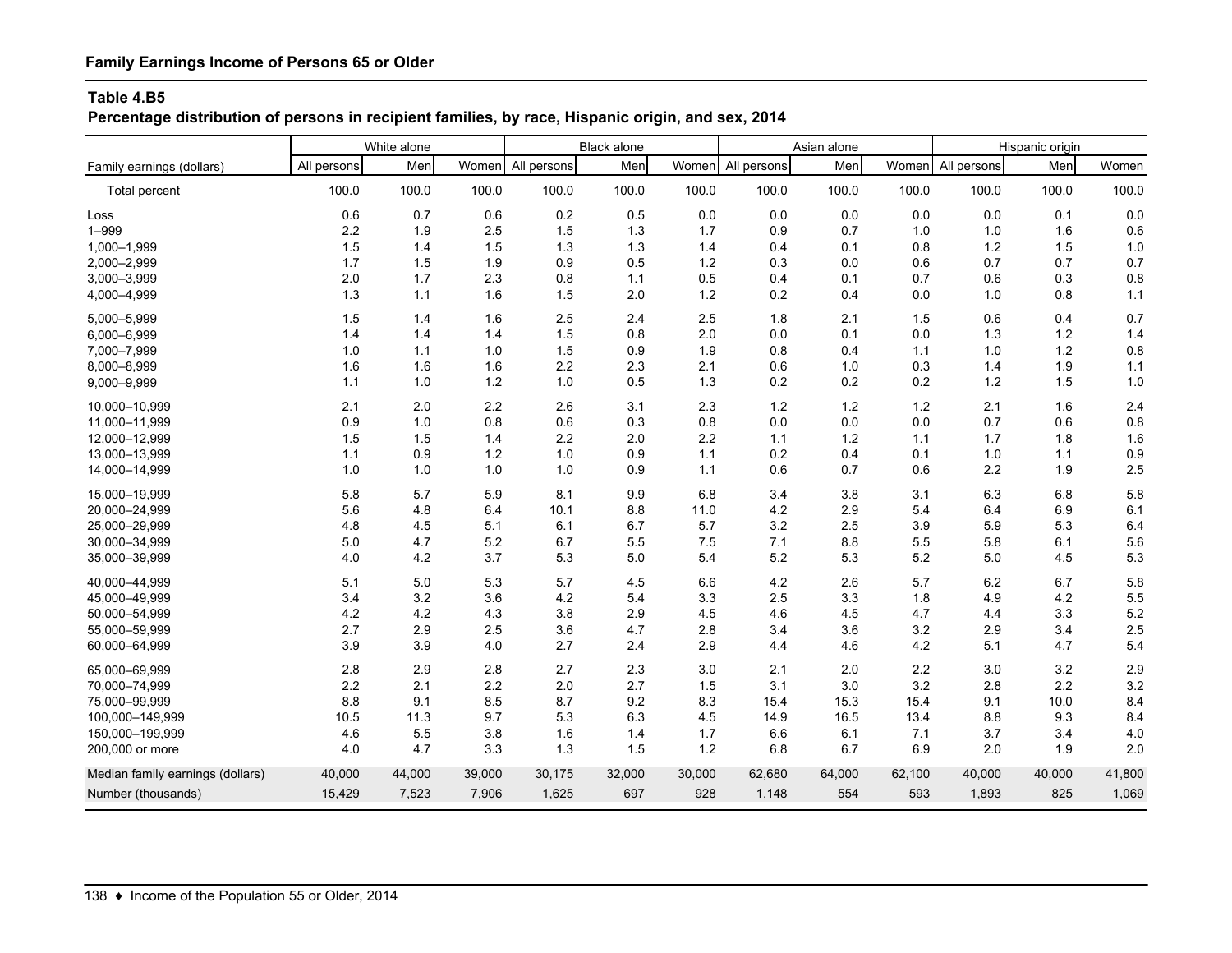# **Percentage distribution of persons in recipient families, by race, Hispanic origin, and sex, 2014**

|                                  | White alone |        | <b>Black alone</b> |             |        | Asian alone |                   |        | Hispanic origin |                   |        |        |
|----------------------------------|-------------|--------|--------------------|-------------|--------|-------------|-------------------|--------|-----------------|-------------------|--------|--------|
| Family earnings (dollars)        | All persons | Men    | Women              | All persons | Men    |             | Women All persons | Men    |                 | Women All persons | Men    | Women  |
| Total percent                    | 100.0       | 100.0  | 100.0              | 100.0       | 100.0  | 100.0       | 100.0             | 100.0  | 100.0           | 100.0             | 100.0  | 100.0  |
| Loss                             | 0.6         | 0.7    | 0.6                | 0.2         | 0.5    | 0.0         | 0.0               | 0.0    | 0.0             | 0.0               | 0.1    | 0.0    |
| $1 - 999$                        | 2.2         | 1.9    | 2.5                | 1.5         | 1.3    | 1.7         | 0.9               | 0.7    | 1.0             | 1.0               | 1.6    | 0.6    |
| 1,000-1,999                      | 1.5         | 1.4    | 1.5                | 1.3         | 1.3    | 1.4         | 0.4               | 0.1    | 0.8             | $1.2$             | 1.5    | 1.0    |
| 2,000-2,999                      | 1.7         | 1.5    | 1.9                | 0.9         | 0.5    | 1.2         | 0.3               | 0.0    | 0.6             | 0.7               | 0.7    | 0.7    |
| 3,000-3,999                      | 2.0         | 1.7    | 2.3                | 0.8         | 1.1    | 0.5         | 0.4               | 0.1    | 0.7             | 0.6               | 0.3    | 0.8    |
| 4,000-4,999                      | 1.3         | 1.1    | 1.6                | 1.5         | 2.0    | $1.2$       | 0.2               | 0.4    | 0.0             | 1.0               | 0.8    | $1.1$  |
| 5,000-5,999                      | 1.5         | 1.4    | 1.6                | 2.5         | 2.4    | 2.5         | 1.8               | 2.1    | 1.5             | 0.6               | 0.4    | 0.7    |
| 6,000-6,999                      | 1.4         | 1.4    | 1.4                | 1.5         | 0.8    | 2.0         | 0.0               | 0.1    | 0.0             | 1.3               | $1.2$  | 1.4    |
| 7,000-7,999                      | 1.0         | 1.1    | 1.0                | 1.5         | 0.9    | 1.9         | 0.8               | 0.4    | 1.1             | 1.0               | 1.2    | 0.8    |
| 8,000-8,999                      | 1.6         | 1.6    | 1.6                | 2.2         | 2.3    | 2.1         | 0.6               | 1.0    | 0.3             | 1.4               | 1.9    | $1.1$  |
| 9,000-9,999                      | 1.1         | 1.0    | 1.2                | 1.0         | 0.5    | 1.3         | 0.2               | 0.2    | 0.2             | $1.2$             | 1.5    | 1.0    |
| 10.000-10.999                    | 2.1         | 2.0    | 2.2                | 2.6         | 3.1    | 2.3         | 1.2               | 1.2    | 1.2             | 2.1               | 1.6    | 2.4    |
| 11,000-11,999                    | 0.9         | 1.0    | 0.8                | 0.6         | 0.3    | 0.8         | 0.0               | 0.0    | 0.0             | 0.7               | 0.6    | 0.8    |
| 12,000-12,999                    | 1.5         | 1.5    | 1.4                | 2.2         | 2.0    | 2.2         | 1.1               | 1.2    | 1.1             | 1.7               | 1.8    | 1.6    |
| 13,000-13,999                    | 1.1         | 0.9    | 1.2                | 1.0         | 0.9    | 1.1         | 0.2               | 0.4    | 0.1             | 1.0               | 1.1    | 0.9    |
| 14,000-14,999                    | 1.0         | 1.0    | 1.0                | 1.0         | 0.9    | 1.1         | 0.6               | 0.7    | 0.6             | 2.2               | 1.9    | 2.5    |
| 15,000-19,999                    | 5.8         | 5.7    | 5.9                | 8.1         | 9.9    | 6.8         | 3.4               | 3.8    | 3.1             | 6.3               | 6.8    | 5.8    |
| 20,000-24,999                    | 5.6         | 4.8    | 6.4                | 10.1        | 8.8    | 11.0        | 4.2               | 2.9    | 5.4             | 6.4               | 6.9    | 6.1    |
| 25,000-29,999                    | 4.8         | 4.5    | 5.1                | 6.1         | 6.7    | 5.7         | 3.2               | 2.5    | 3.9             | 5.9               | 5.3    | 6.4    |
| 30.000-34.999                    | 5.0         | 4.7    | 5.2                | 6.7         | 5.5    | 7.5         | 7.1               | 8.8    | 5.5             | 5.8               | 6.1    | 5.6    |
| 35,000-39,999                    | 4.0         | 4.2    | 3.7                | 5.3         | 5.0    | 5.4         | 5.2               | 5.3    | 5.2             | 5.0               | 4.5    | 5.3    |
| 40.000-44.999                    | 5.1         | 5.0    | 5.3                | 5.7         | 4.5    | 6.6         | 4.2               | 2.6    | 5.7             | 6.2               | 6.7    | 5.8    |
| 45,000-49,999                    | 3.4         | 3.2    | 3.6                | 4.2         | 5.4    | 3.3         | 2.5               | 3.3    | 1.8             | 4.9               | 4.2    | 5.5    |
| 50.000-54.999                    | 4.2         | 4.2    | 4.3                | 3.8         | 2.9    | 4.5         | 4.6               | 4.5    | 4.7             | 4.4               | 3.3    | 5.2    |
| 55,000-59,999                    | 2.7         | 2.9    | 2.5                | 3.6         | 4.7    | 2.8         | 3.4               | 3.6    | 3.2             | 2.9               | 3.4    | 2.5    |
| 60,000-64,999                    | 3.9         | 3.9    | 4.0                | 2.7         | 2.4    | 2.9         | 4.4               | 4.6    | 4.2             | 5.1               | 4.7    | 5.4    |
| 65.000-69.999                    | 2.8         | 2.9    | 2.8                | 2.7         | 2.3    | 3.0         | 2.1               | 2.0    | 2.2             | 3.0               | 3.2    | 2.9    |
| 70.000-74.999                    | 2.2         | 2.1    | 2.2                | 2.0         | 2.7    | 1.5         | 3.1               | 3.0    | 3.2             | 2.8               | 2.2    | 3.2    |
| 75,000-99,999                    | 8.8         | 9.1    | 8.5                | 8.7         | 9.2    | 8.3         | 15.4              | 15.3   | 15.4            | 9.1               | 10.0   | 8.4    |
| 100,000-149,999                  | 10.5        | 11.3   | 9.7                | 5.3         | 6.3    | 4.5         | 14.9              | 16.5   | 13.4            | 8.8               | 9.3    | 8.4    |
| 150,000-199,999                  | 4.6         | 5.5    | 3.8                | 1.6         | 1.4    | 1.7         | 6.6               | 6.1    | 7.1             | 3.7               | 3.4    | 4.0    |
| 200,000 or more                  | 4.0         | 4.7    | 3.3                | 1.3         | 1.5    | 1.2         | 6.8               | 6.7    | 6.9             | 2.0               | 1.9    | 2.0    |
| Median family earnings (dollars) | 40,000      | 44,000 | 39,000             | 30,175      | 32,000 | 30,000      | 62,680            | 64,000 | 62,100          | 40,000            | 40,000 | 41,800 |
| Number (thousands)               | 15,429      | 7,523  | 7,906              | 1,625       | 697    | 928         | 1,148             | 554    | 593             | 1,893             | 825    | 1,069  |
|                                  |             |        |                    |             |        |             |                   |        |                 |                   |        |        |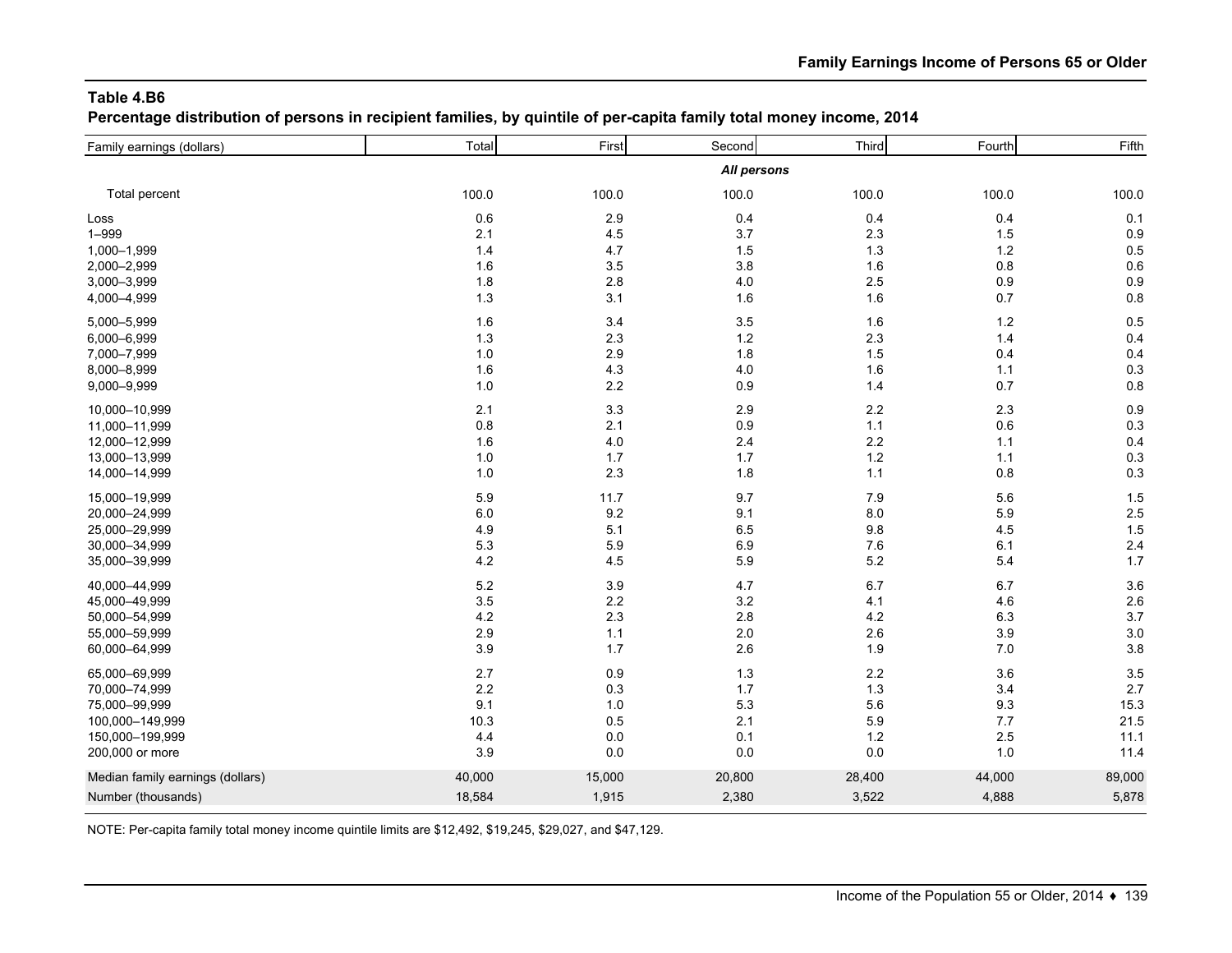**Percentage distribution of persons in recipient families, by quintile of per-capita family total money income, 2014**

| Family earnings (dollars)        | Total  | First   | Second      | Third   | Fourth  | Fifth  |
|----------------------------------|--------|---------|-------------|---------|---------|--------|
|                                  |        |         | All persons |         |         |        |
| Total percent                    | 100.0  | 100.0   | 100.0       | 100.0   | 100.0   | 100.0  |
| Loss                             | 0.6    | 2.9     | 0.4         | 0.4     | 0.4     | 0.1    |
| $1 - 999$                        | 2.1    | 4.5     | 3.7         | 2.3     | 1.5     | 0.9    |
| 1,000-1,999                      | 1.4    | 4.7     | 1.5         | 1.3     | 1.2     | 0.5    |
| 2,000-2,999                      | 1.6    | 3.5     | 3.8         | 1.6     | 0.8     | 0.6    |
| 3,000-3,999                      | 1.8    | 2.8     | $4.0$       | 2.5     | 0.9     | 0.9    |
| 4,000-4,999                      | $1.3$  | 3.1     | 1.6         | 1.6     | 0.7     | 0.8    |
| 5,000-5,999                      | 1.6    | 3.4     | 3.5         | 1.6     | $1.2$   | 0.5    |
| 6,000-6,999                      | 1.3    | 2.3     | $1.2$       | 2.3     | 1.4     | 0.4    |
| 7,000-7,999                      | 1.0    | 2.9     | 1.8         | 1.5     | 0.4     | 0.4    |
| 8,000-8,999                      | 1.6    | 4.3     | 4.0         | 1.6     | 1.1     | 0.3    |
| 9,000-9,999                      | 1.0    | 2.2     | 0.9         | 1.4     | 0.7     | 0.8    |
| 10,000-10,999                    | 2.1    | 3.3     | 2.9         | 2.2     | 2.3     | 0.9    |
| 11,000-11,999                    | 0.8    | 2.1     | 0.9         | 1.1     | 0.6     | 0.3    |
| 12,000-12,999                    | 1.6    | $4.0\,$ | 2.4         | $2.2\,$ | 1.1     | 0.4    |
| 13,000-13,999                    | 1.0    | 1.7     | 1.7         | $1.2$   | 1.1     | 0.3    |
| 14,000-14,999                    | 1.0    | 2.3     | 1.8         | 1.1     | 0.8     | 0.3    |
| 15,000-19,999                    | 5.9    | 11.7    | 9.7         | 7.9     | 5.6     | 1.5    |
| 20,000-24,999                    | 6.0    | 9.2     | 9.1         | $8.0\,$ | 5.9     | 2.5    |
| 25,000-29,999                    | 4.9    | 5.1     | 6.5         | 9.8     | 4.5     | 1.5    |
| 30,000-34,999                    | 5.3    | 5.9     | 6.9         | 7.6     | 6.1     | 2.4    |
| 35,000-39,999                    | 4.2    | 4.5     | 5.9         | $5.2\,$ | 5.4     | 1.7    |
| 40,000-44,999                    | 5.2    | 3.9     | 4.7         | 6.7     | 6.7     | 3.6    |
| 45,000-49,999                    | 3.5    | 2.2     | 3.2         | 4.1     | 4.6     | 2.6    |
| 50,000-54,999                    | 4.2    | 2.3     | 2.8         | 4.2     | 6.3     | 3.7    |
| 55,000-59,999                    | 2.9    | 1.1     | 2.0         | 2.6     | 3.9     | 3.0    |
| 60,000-64,999                    | 3.9    | 1.7     | 2.6         | 1.9     | 7.0     | 3.8    |
| 65,000-69,999                    | 2.7    | 0.9     | 1.3         | $2.2\,$ | 3.6     | 3.5    |
| 70,000-74,999                    | 2.2    | 0.3     | 1.7         | 1.3     | 3.4     | 2.7    |
| 75,000-99,999                    | 9.1    | 1.0     | 5.3         | 5.6     | $9.3\,$ | 15.3   |
| 100,000-149,999                  | 10.3   | 0.5     | 2.1         | 5.9     | 7.7     | 21.5   |
| 150,000-199,999                  | 4.4    | 0.0     | 0.1         | $1.2$   | 2.5     | 11.1   |
| 200,000 or more                  | 3.9    | 0.0     | 0.0         | 0.0     | 1.0     | 11.4   |
| Median family earnings (dollars) | 40,000 | 15,000  | 20,800      | 28,400  | 44,000  | 89,000 |
| Number (thousands)               | 18,584 | 1,915   | 2,380       | 3,522   | 4,888   | 5,878  |
|                                  |        |         |             |         |         |        |

NOTE: Per-capita family total money income quintile limits are \$12,492, \$19,245, \$29,027, and \$47,129.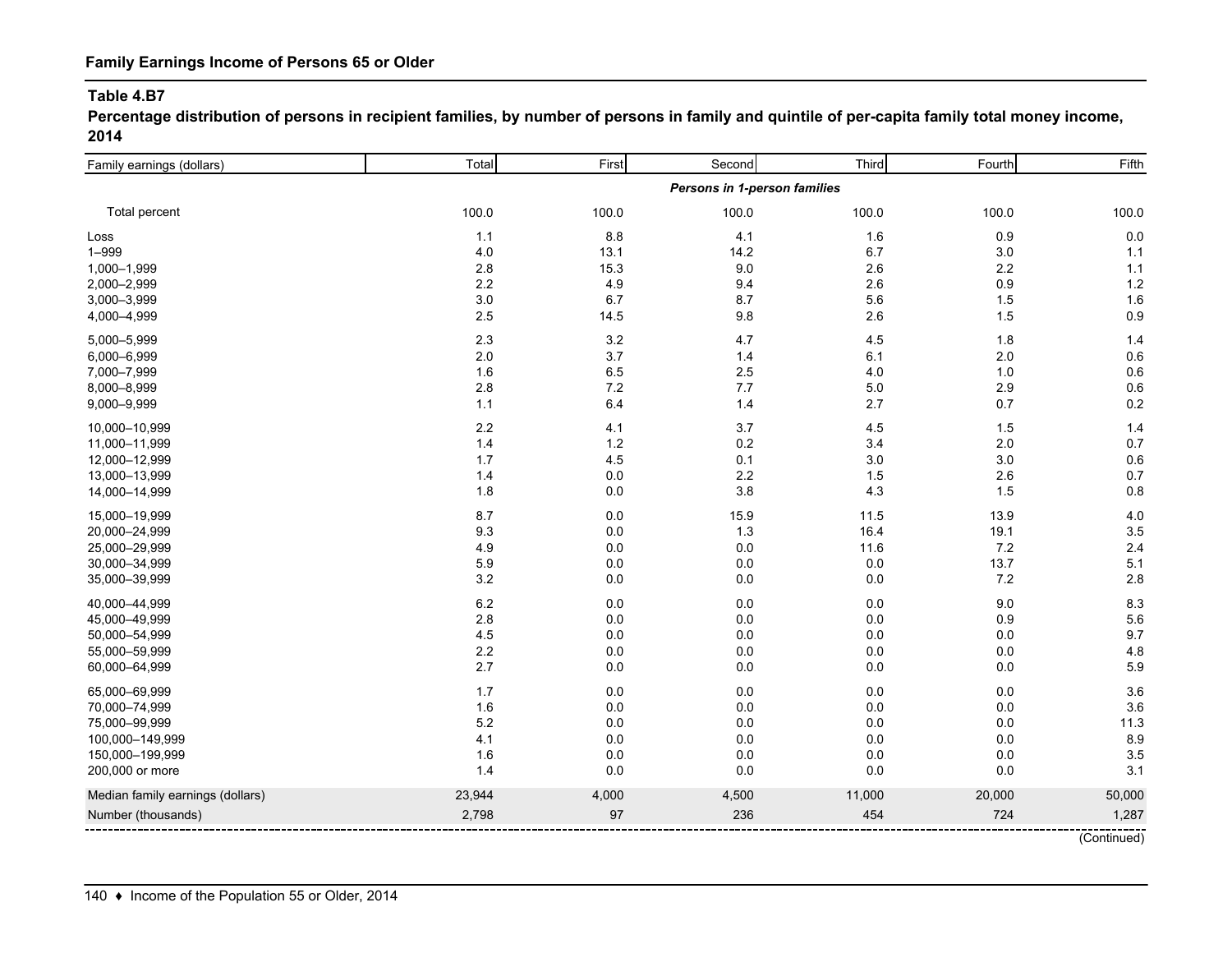**Percentage distribution of persons in recipient families, by number of persons in family and quintile of per-capita family total money income, 2014**

| Family earnings (dollars)        | Total  | First | Second                       | Third   | Fourth | Fifth  |
|----------------------------------|--------|-------|------------------------------|---------|--------|--------|
|                                  |        |       | Persons in 1-person families |         |        |        |
| Total percent                    | 100.0  | 100.0 | 100.0                        | 100.0   | 100.0  | 100.0  |
| Loss                             | 1.1    | 8.8   | 4.1                          | 1.6     | 0.9    | 0.0    |
| $1 - 999$                        | 4.0    | 13.1  | 14.2                         | 6.7     | 3.0    | 1.1    |
| 1,000-1,999                      | 2.8    | 15.3  | 9.0                          | 2.6     | 2.2    | 1.1    |
| 2,000-2,999                      | 2.2    | 4.9   | 9.4                          | 2.6     | 0.9    | 1.2    |
| 3,000-3,999                      | 3.0    | 6.7   | 8.7                          | 5.6     | 1.5    | 1.6    |
| 4,000-4,999                      | 2.5    | 14.5  | 9.8                          | 2.6     | 1.5    | 0.9    |
| 5,000-5,999                      | 2.3    | 3.2   | 4.7                          | 4.5     | 1.8    | 1.4    |
| 6,000-6,999                      | 2.0    | 3.7   | 1.4                          | 6.1     | 2.0    | 0.6    |
| 7,000-7,999                      | 1.6    | 6.5   | 2.5                          | 4.0     | 1.0    | 0.6    |
| 8,000-8,999                      | 2.8    | $7.2$ | 7.7                          | $5.0\,$ | 2.9    | 0.6    |
| 9,000-9,999                      | 1.1    | 6.4   | 1.4                          | 2.7     | 0.7    | 0.2    |
| 10,000-10,999                    | 2.2    | 4.1   | 3.7                          | 4.5     | 1.5    | 1.4    |
| 11,000-11,999                    | 1.4    | $1.2$ | 0.2                          | 3.4     | 2.0    | 0.7    |
| 12,000-12,999                    | 1.7    | 4.5   | 0.1                          | 3.0     | 3.0    | 0.6    |
| 13,000-13,999                    | 1.4    | 0.0   | 2.2                          | 1.5     | 2.6    | 0.7    |
| 14,000-14,999                    | 1.8    | 0.0   | 3.8                          | 4.3     | 1.5    | 0.8    |
| 15,000-19,999                    | 8.7    | 0.0   | 15.9                         | 11.5    | 13.9   | 4.0    |
| 20,000-24,999                    | 9.3    | 0.0   | 1.3                          | 16.4    | 19.1   | 3.5    |
| 25,000-29,999                    | 4.9    | 0.0   | 0.0                          | 11.6    | 7.2    | 2.4    |
| 30,000-34,999                    | 5.9    | 0.0   | 0.0                          | 0.0     | 13.7   | 5.1    |
| 35,000-39,999                    | 3.2    | 0.0   | 0.0                          | $0.0\,$ | 7.2    | 2.8    |
| 40,000-44,999                    | 6.2    | 0.0   | 0.0                          | $0.0\,$ | 9.0    | 8.3    |
| 45,000-49,999                    | 2.8    | 0.0   | 0.0                          | 0.0     | 0.9    | 5.6    |
| 50,000-54,999                    | 4.5    | 0.0   | 0.0                          | $0.0\,$ | 0.0    | 9.7    |
| 55,000-59,999                    | 2.2    | 0.0   | 0.0                          | $0.0\,$ | 0.0    | 4.8    |
| 60,000-64,999                    | 2.7    | 0.0   | 0.0                          | 0.0     | 0.0    | 5.9    |
| 65,000-69,999                    | 1.7    | 0.0   | 0.0                          | $0.0\,$ | 0.0    | 3.6    |
| 70,000-74,999                    | 1.6    | 0.0   | 0.0                          | $0.0\,$ | 0.0    | 3.6    |
| 75,000-99,999                    | 5.2    | 0.0   | 0.0                          | 0.0     | 0.0    | 11.3   |
| 100,000-149,999                  | 4.1    | 0.0   | 0.0                          | $0.0\,$ | 0.0    | 8.9    |
| 150,000-199,999                  | 1.6    | 0.0   | 0.0                          | 0.0     | 0.0    | 3.5    |
| 200,000 or more                  | 1.4    | 0.0   | 0.0                          | $0.0\,$ | 0.0    | 3.1    |
| Median family earnings (dollars) | 23,944 | 4,000 | 4,500                        | 11,000  | 20,000 | 50,000 |
| Number (thousands)               | 2,798  | 97    | 236                          | 454     | 724    | 1,287  |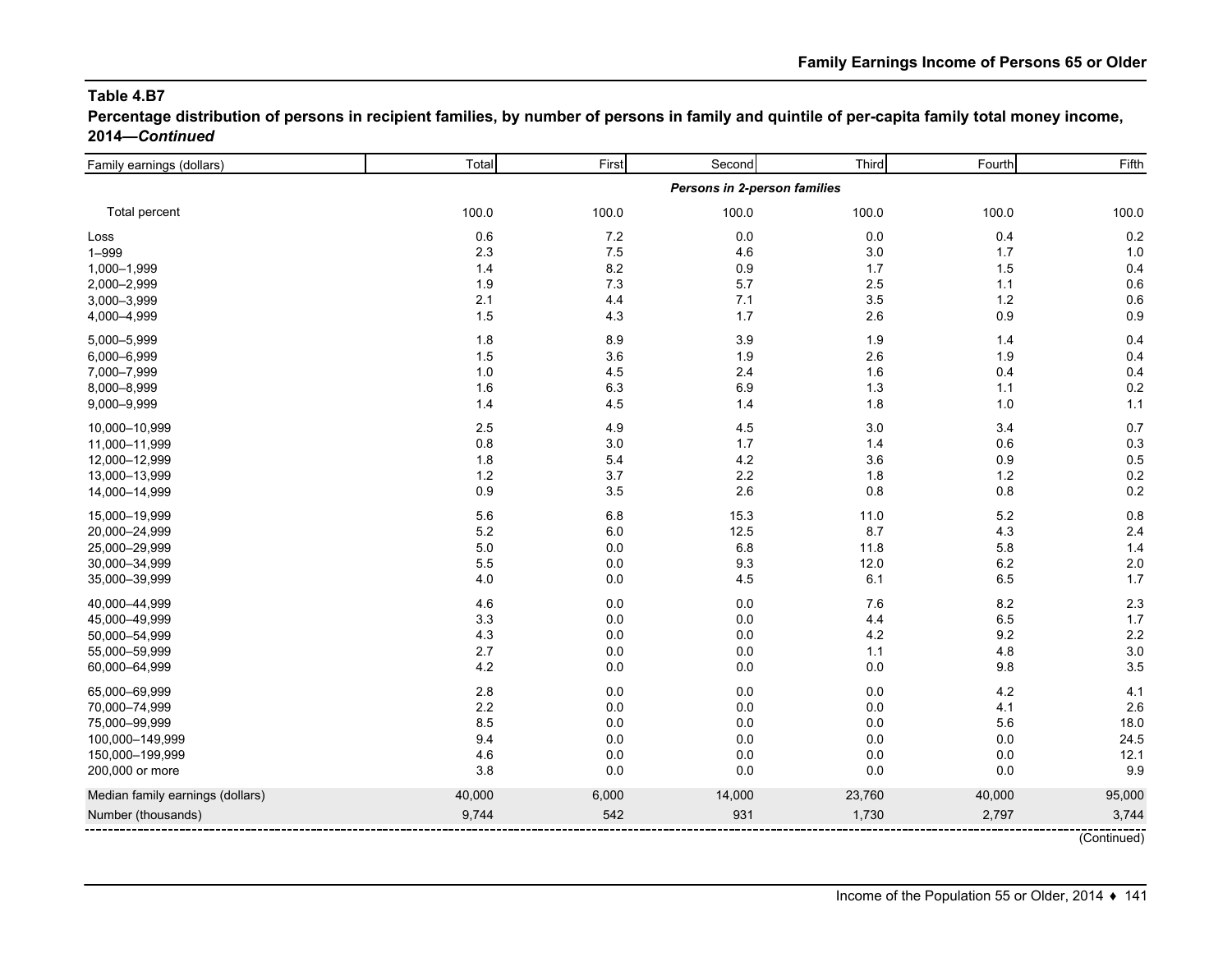**Percentage distribution of persons in recipient families, by number of persons in family and quintile of per-capita family total money income, 2014—***Continued*

| Family earnings (dollars)        | Total                        | First   | Second  | Third   | Fourth  | Fifth  |  |  |  |
|----------------------------------|------------------------------|---------|---------|---------|---------|--------|--|--|--|
|                                  | Persons in 2-person families |         |         |         |         |        |  |  |  |
| Total percent                    | 100.0                        | 100.0   | 100.0   | 100.0   | 100.0   | 100.0  |  |  |  |
| Loss                             | 0.6                          | $7.2\,$ | $0.0\,$ | $0.0\,$ | 0.4     | 0.2    |  |  |  |
| $1 - 999$                        | 2.3                          | $7.5\,$ | 4.6     | 3.0     | 1.7     | 1.0    |  |  |  |
| 1,000-1,999                      | 1.4                          | 8.2     | 0.9     | 1.7     | 1.5     | 0.4    |  |  |  |
| 2,000-2,999                      | 1.9                          | 7.3     | 5.7     | 2.5     | 1.1     | 0.6    |  |  |  |
| 3,000-3,999                      | 2.1                          | 4.4     | 7.1     | 3.5     | 1.2     | 0.6    |  |  |  |
| 4,000-4,999                      | 1.5                          | 4.3     | 1.7     | 2.6     | $0.9\,$ | 0.9    |  |  |  |
| 5,000-5,999                      | 1.8                          | 8.9     | 3.9     | 1.9     | 1.4     | 0.4    |  |  |  |
| 6,000-6,999                      | 1.5                          | 3.6     | 1.9     | 2.6     | 1.9     | 0.4    |  |  |  |
| 7,000-7,999                      | 1.0                          | 4.5     | 2.4     | 1.6     | 0.4     | 0.4    |  |  |  |
| 8,000-8,999                      | 1.6                          | 6.3     | 6.9     | 1.3     | 1.1     | 0.2    |  |  |  |
| 9,000-9,999                      | 1.4                          | 4.5     | 1.4     | 1.8     | 1.0     | 1.1    |  |  |  |
| 10,000-10,999                    | 2.5                          | 4.9     | 4.5     | 3.0     | 3.4     | 0.7    |  |  |  |
| 11,000-11,999                    | $0.8\,$                      | 3.0     | 1.7     | 1.4     | 0.6     | 0.3    |  |  |  |
| 12,000-12,999                    | 1.8                          | 5.4     | 4.2     | 3.6     | 0.9     | 0.5    |  |  |  |
| 13,000-13,999                    | 1.2                          | 3.7     | 2.2     | 1.8     | 1.2     | 0.2    |  |  |  |
| 14,000-14,999                    | 0.9                          | 3.5     | 2.6     | 0.8     | 0.8     | 0.2    |  |  |  |
| 15,000-19,999                    | 5.6                          | 6.8     | 15.3    | 11.0    | 5.2     | 0.8    |  |  |  |
| 20,000-24,999                    | 5.2                          | 6.0     | 12.5    | 8.7     | 4.3     | 2.4    |  |  |  |
| 25,000-29,999                    | $5.0\,$                      | 0.0     | 6.8     | 11.8    | 5.8     | 1.4    |  |  |  |
| 30,000-34,999                    | 5.5                          | 0.0     | 9.3     | 12.0    | 6.2     | 2.0    |  |  |  |
| 35,000-39,999                    | 4.0                          | 0.0     | 4.5     | 6.1     | 6.5     | 1.7    |  |  |  |
| 40,000-44,999                    | 4.6                          | 0.0     | 0.0     | 7.6     | 8.2     | 2.3    |  |  |  |
| 45,000-49,999                    | 3.3                          | 0.0     | $0.0\,$ | 4.4     | 6.5     | 1.7    |  |  |  |
| 50,000-54,999                    | 4.3                          | 0.0     | 0.0     | 4.2     | 9.2     | 2.2    |  |  |  |
| 55,000-59,999                    | 2.7                          | 0.0     | 0.0     | 1.1     | 4.8     | 3.0    |  |  |  |
| 60,000-64,999                    | 4.2                          | 0.0     | 0.0     | 0.0     | 9.8     | 3.5    |  |  |  |
| 65,000-69,999                    | 2.8                          | 0.0     | $0.0\,$ | 0.0     | 4.2     | 4.1    |  |  |  |
| 70,000-74,999                    | 2.2                          | 0.0     | 0.0     | 0.0     | 4.1     | 2.6    |  |  |  |
| 75,000-99,999                    | 8.5                          | 0.0     | 0.0     | $0.0\,$ | 5.6     | 18.0   |  |  |  |
| 100,000-149,999                  | 9.4                          | 0.0     | 0.0     | 0.0     | 0.0     | 24.5   |  |  |  |
| 150,000-199,999                  | 4.6                          | 0.0     | 0.0     | 0.0     | 0.0     | 12.1   |  |  |  |
| 200,000 or more                  | 3.8                          | 0.0     | $0.0\,$ | $0.0\,$ | $0.0\,$ | 9.9    |  |  |  |
| Median family earnings (dollars) | 40,000                       | 6,000   | 14,000  | 23,760  | 40,000  | 95,000 |  |  |  |
| Number (thousands)               | 9,744                        | 542     | 931     | 1,730   | 2,797   | 3,744  |  |  |  |

(Continued)